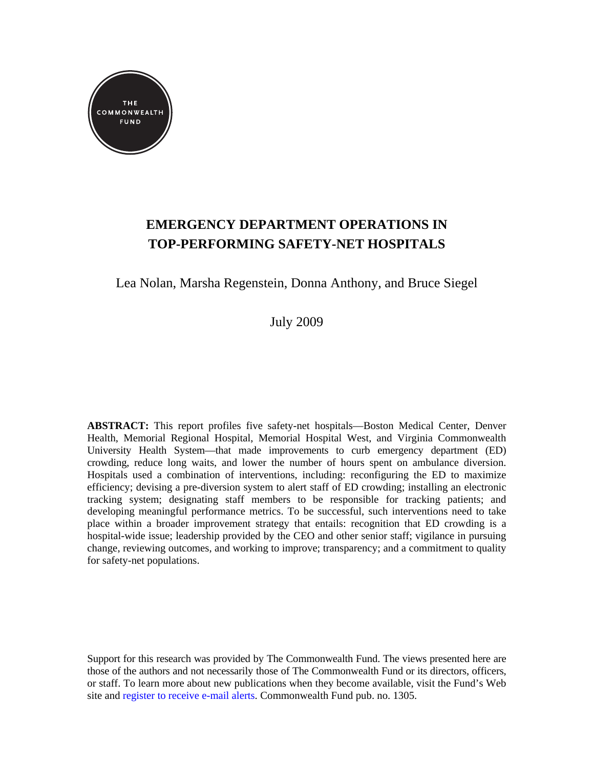

# **EMERGENCY DEPARTMENT OPERATIONS IN TOP-PERFORMING SAFETY-NET HOSPITALS**

Lea Nolan, Marsha Regenstein, Donna Anthony, and Bruce Siegel

July 2009

**ABSTRACT:** This report profiles five safety-net hospitals—Boston Medical Center, Denver Health, Memorial Regional Hospital, Memorial Hospital West, and Virginia Commonwealth University Health System—that made improvements to curb emergency department (ED) crowding, reduce long waits, and lower the number of hours spent on ambulance diversion. Hospitals used a combination of interventions, including: reconfiguring the ED to maximize efficiency; devising a pre-diversion system to alert staff of ED crowding; installing an electronic tracking system; designating staff members to be responsible for tracking patients; and developing meaningful performance metrics. To be successful, such interventions need to take place within a broader improvement strategy that entails: recognition that ED crowding is a hospital-wide issue; leadership provided by the CEO and other senior staff; vigilance in pursuing change, reviewing outcomes, and working to improve; transparency; and a commitment to quality for safety-net populations.

Support for this research was provided by The Commonwealth Fund. The views presented here are those of the authors and not necessarily those of The Commonwealth Fund or its directors, officers, or staff. To learn more about new publications when they become available, visit the Fund's Web site and [register to receive e-mail alerts.](http://www.commonwealthfund.org/Profile/My-Profile.aspx) Commonwealth Fund pub. no. 1305.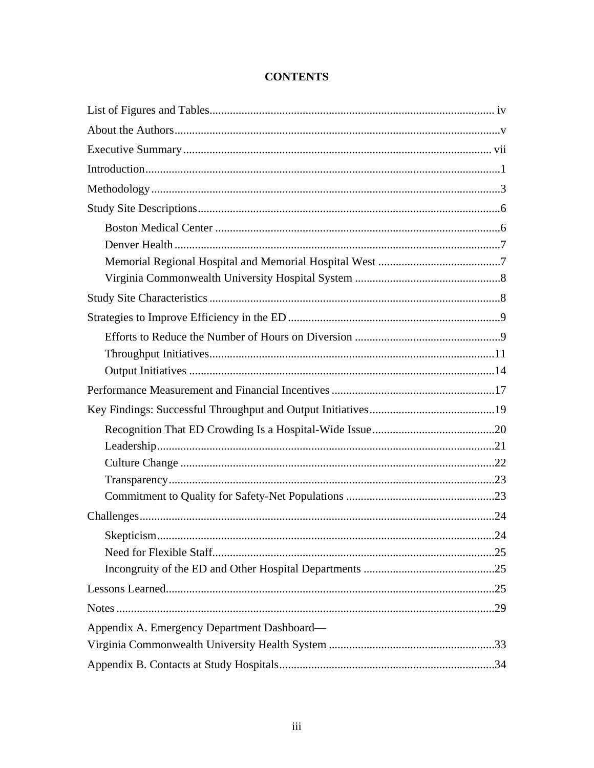| Appendix A. Emergency Department Dashboard- |  |
|---------------------------------------------|--|
|                                             |  |
|                                             |  |

# **CONTENTS**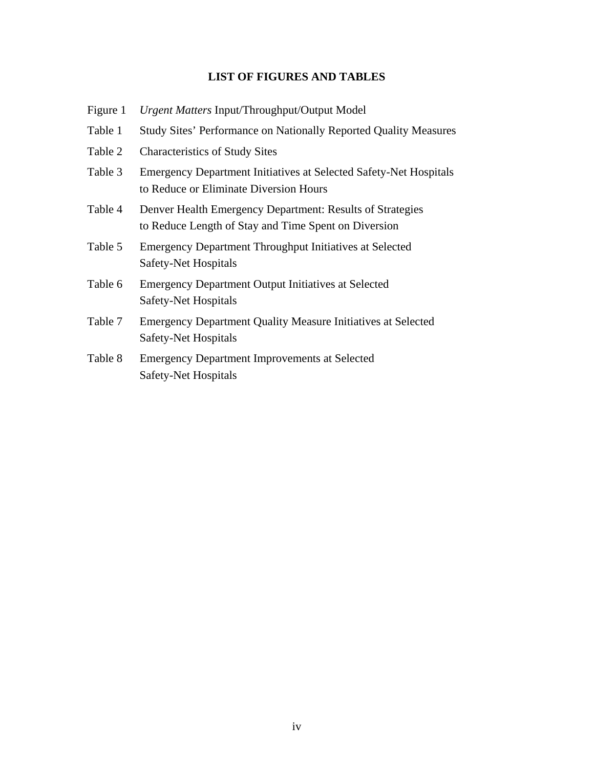# **LIST OF FIGURES AND TABLES**

- Figure 1 *Urgent Matters* Input/Throughput/Output Model
- Table 1 Study Sites' Performance on Nationally Reported Quality Measures
- Table 2 Characteristics of Study Sites
- Table 3 Emergency Department Initiatives at Selected Safety-Net Hospitals to Reduce or Eliminate Diversion Hours
- Table 4 Denver Health Emergency Department: Results of Strategies to Reduce Length of Stay and Time Spent on Diversion
- Table 5 Emergency Department Throughput Initiatives at Selected Safety-Net Hospitals
- Table 6 Emergency Department Output Initiatives at Selected Safety-Net Hospitals
- Table 7 Emergency Department Quality Measure Initiatives at Selected Safety-Net Hospitals
- Table 8 Emergency Department Improvements at Selected Safety-Net Hospitals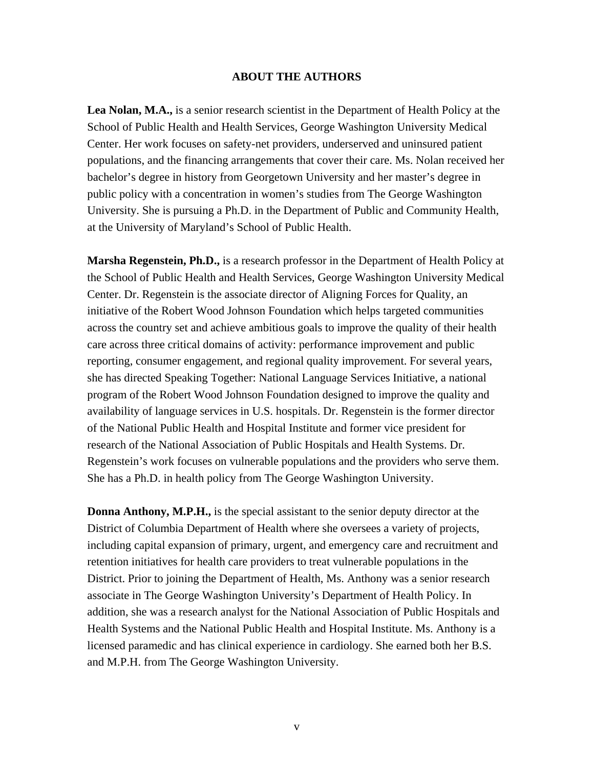### **ABOUT THE AUTHORS**

**Lea Nolan, M.A.,** is a senior research scientist in the Department of Health Policy at the School of Public Health and Health Services, George Washington University Medical Center. Her work focuses on safety-net providers, underserved and uninsured patient populations, and the financing arrangements that cover their care. Ms. Nolan received her bachelor's degree in history from Georgetown University and her master's degree in public policy with a concentration in women's studies from The George Washington University. She is pursuing a Ph.D. in the Department of Public and Community Health, at the University of Maryland's School of Public Health.

**Marsha Regenstein, Ph.D.,** is a research professor in the Department of Health Policy at the School of Public Health and Health Services, George Washington University Medical Center. Dr. Regenstein is the associate director of Aligning Forces for Quality, an initiative of the Robert Wood Johnson Foundation which helps targeted communities across the country set and achieve ambitious goals to improve the quality of their health care across three critical domains of activity: performance improvement and public reporting, consumer engagement, and regional quality improvement. For several years, she has directed Speaking Together: National Language Services Initiative, a national program of the Robert Wood Johnson Foundation designed to improve the quality and availability of language services in U.S. hospitals. Dr. Regenstein is the former director of the National Public Health and Hospital Institute and former vice president for research of the National Association of Public Hospitals and Health Systems. Dr. Regenstein's work focuses on vulnerable populations and the providers who serve them. She has a Ph.D. in health policy from The George Washington University.

**Donna Anthony, M.P.H.,** is the special assistant to the senior deputy director at the District of Columbia Department of Health where she oversees a variety of projects, including capital expansion of primary, urgent, and emergency care and recruitment and retention initiatives for health care providers to treat vulnerable populations in the District. Prior to joining the Department of Health, Ms. Anthony was a senior research associate in The George Washington University's Department of Health Policy. In addition, she was a research analyst for the National Association of Public Hospitals and Health Systems and the National Public Health and Hospital Institute. Ms. Anthony is a licensed paramedic and has clinical experience in cardiology. She earned both her B.S. and M.P.H. from The George Washington University.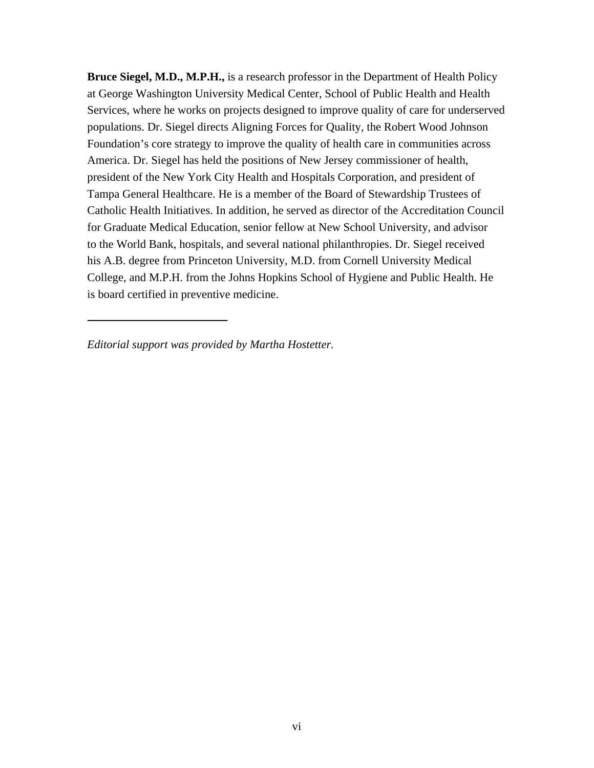**Bruce Siegel, M.D., M.P.H.,** is a research professor in the Department of Health Policy at George Washington University Medical Center, School of Public Health and Health Services, where he works on projects designed to improve quality of care for underserved populations. Dr. Siegel directs Aligning Forces for Quality, the Robert Wood Johnson Foundation's core strategy to improve the quality of health care in communities across America. Dr. Siegel has held the positions of New Jersey commissioner of health, president of the New York City Health and Hospitals Corporation, and president of Tampa General Healthcare. He is a member of the Board of Stewardship Trustees of Catholic Health Initiatives. In addition, he served as director of the Accreditation Council for Graduate Medical Education, senior fellow at New School University, and advisor to the World Bank, hospitals, and several national philanthropies. Dr. Siegel received his A.B. degree from Princeton University, M.D. from Cornell University Medical College, and M.P.H. from the Johns Hopkins School of Hygiene and Public Health. He is board certified in preventive medicine.

*Editorial support was provided by Martha Hostetter.*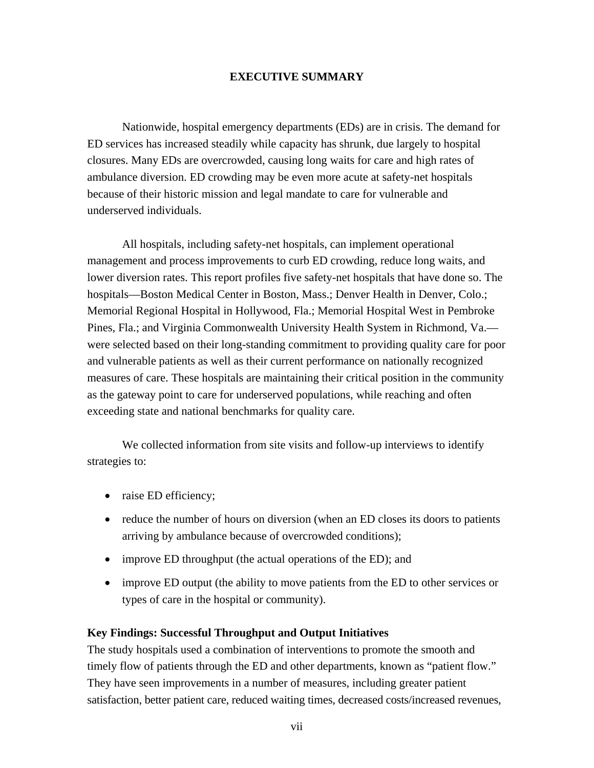### **EXECUTIVE SUMMARY**

Nationwide, hospital emergency departments (EDs) are in crisis. The demand for ED services has increased steadily while capacity has shrunk, due largely to hospital closures. Many EDs are overcrowded, causing long waits for care and high rates of ambulance diversion. ED crowding may be even more acute at safety-net hospitals because of their historic mission and legal mandate to care for vulnerable and underserved individuals.

All hospitals, including safety-net hospitals, can implement operational management and process improvements to curb ED crowding, reduce long waits, and lower diversion rates. This report profiles five safety-net hospitals that have done so. The hospitals—Boston Medical Center in Boston, Mass.; Denver Health in Denver, Colo.; Memorial Regional Hospital in Hollywood, Fla.; Memorial Hospital West in Pembroke Pines, Fla.; and Virginia Commonwealth University Health System in Richmond, Va. were selected based on their long-standing commitment to providing quality care for poor and vulnerable patients as well as their current performance on nationally recognized measures of care. These hospitals are maintaining their critical position in the community as the gateway point to care for underserved populations, while reaching and often exceeding state and national benchmarks for quality care.

We collected information from site visits and follow-up interviews to identify strategies to:

- raise ED efficiency;
- reduce the number of hours on diversion (when an ED closes its doors to patients arriving by ambulance because of overcrowded conditions);
- improve ED throughput (the actual operations of the ED); and
- improve ED output (the ability to move patients from the ED to other services or types of care in the hospital or community).

### **Key Findings: Successful Throughput and Output Initiatives**

The study hospitals used a combination of interventions to promote the smooth and timely flow of patients through the ED and other departments, known as "patient flow." They have seen improvements in a number of measures, including greater patient satisfaction, better patient care, reduced waiting times, decreased costs/increased revenues,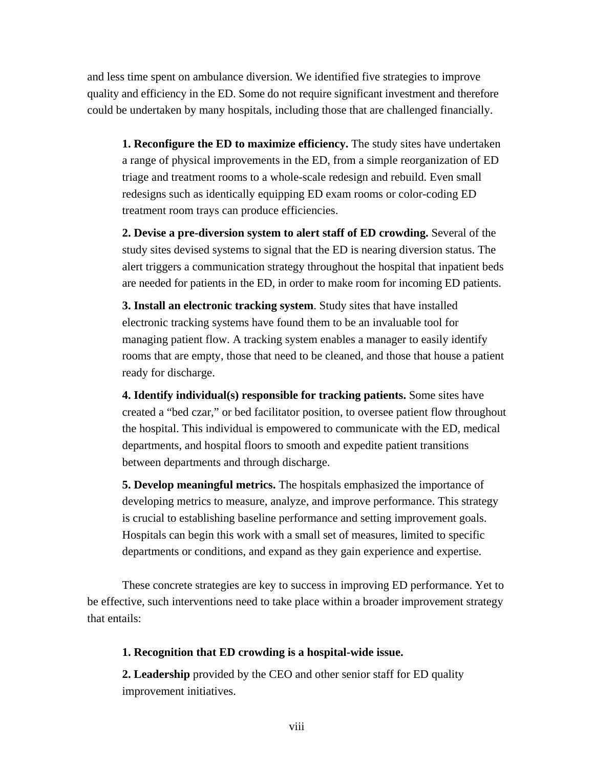and less time spent on ambulance diversion. We identified five strategies to improve quality and efficiency in the ED. Some do not require significant investment and therefore could be undertaken by many hospitals, including those that are challenged financially.

**1. Reconfigure the ED to maximize efficiency.** The study sites have undertaken a range of physical improvements in the ED, from a simple reorganization of ED triage and treatment rooms to a whole-scale redesign and rebuild. Even small redesigns such as identically equipping ED exam rooms or color-coding ED treatment room trays can produce efficiencies.

**2. Devise a pre-diversion system to alert staff of ED crowding.** Several of the study sites devised systems to signal that the ED is nearing diversion status. The alert triggers a communication strategy throughout the hospital that inpatient beds are needed for patients in the ED, in order to make room for incoming ED patients.

**3. Install an electronic tracking system**. Study sites that have installed electronic tracking systems have found them to be an invaluable tool for managing patient flow. A tracking system enables a manager to easily identify rooms that are empty, those that need to be cleaned, and those that house a patient ready for discharge.

**4. Identify individual(s) responsible for tracking patients.** Some sites have created a "bed czar," or bed facilitator position, to oversee patient flow throughout the hospital. This individual is empowered to communicate with the ED, medical departments, and hospital floors to smooth and expedite patient transitions between departments and through discharge.

**5. Develop meaningful metrics.** The hospitals emphasized the importance of developing metrics to measure, analyze, and improve performance. This strategy is crucial to establishing baseline performance and setting improvement goals. Hospitals can begin this work with a small set of measures, limited to specific departments or conditions, and expand as they gain experience and expertise.

These concrete strategies are key to success in improving ED performance. Yet to be effective, such interventions need to take place within a broader improvement strategy that entails:

### **1. Recognition that ED crowding is a hospital-wide issue.**

**2. Leadership** provided by the CEO and other senior staff for ED quality improvement initiatives.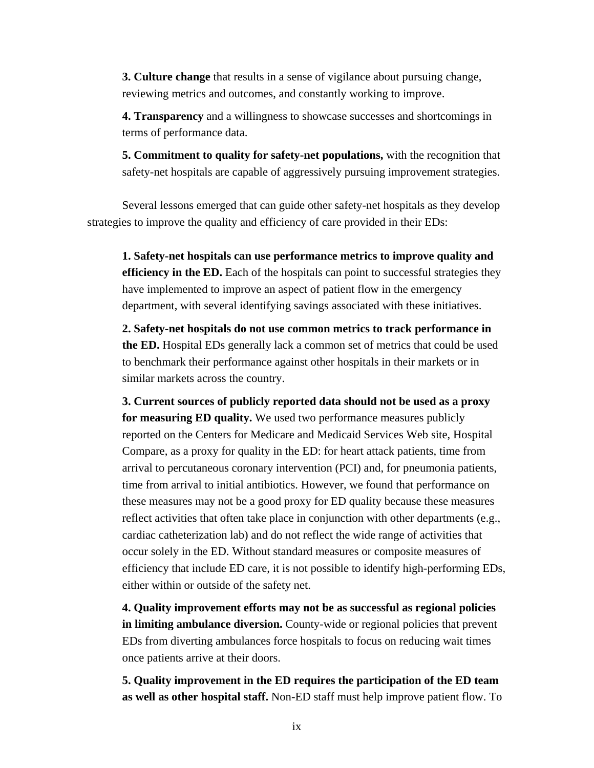**3. Culture change** that results in a sense of vigilance about pursuing change, reviewing metrics and outcomes, and constantly working to improve.

**4. Transparency** and a willingness to showcase successes and shortcomings in terms of performance data.

**5. Commitment to quality for safety-net populations,** with the recognition that safety-net hospitals are capable of aggressively pursuing improvement strategies.

Several lessons emerged that can guide other safety-net hospitals as they develop strategies to improve the quality and efficiency of care provided in their EDs:

**1. Safety-net hospitals can use performance metrics to improve quality and efficiency in the ED.** Each of the hospitals can point to successful strategies they have implemented to improve an aspect of patient flow in the emergency department, with several identifying savings associated with these initiatives.

**2. Safety-net hospitals do not use common metrics to track performance in the ED.** Hospital EDs generally lack a common set of metrics that could be used to benchmark their performance against other hospitals in their markets or in similar markets across the country.

**3. Current sources of publicly reported data should not be used as a proxy for measuring ED quality.** We used two performance measures publicly reported on the Centers for Medicare and Medicaid Services Web site, Hospital Compare, as a proxy for quality in the ED: for heart attack patients, time from arrival to percutaneous coronary intervention (PCI) and, for pneumonia patients, time from arrival to initial antibiotics. However, we found that performance on these measures may not be a good proxy for ED quality because these measures reflect activities that often take place in conjunction with other departments (e.g., cardiac catheterization lab) and do not reflect the wide range of activities that occur solely in the ED. Without standard measures or composite measures of efficiency that include ED care, it is not possible to identify high-performing EDs, either within or outside of the safety net.

**4. Quality improvement efforts may not be as successful as regional policies in limiting ambulance diversion.** County-wide or regional policies that prevent EDs from diverting ambulances force hospitals to focus on reducing wait times once patients arrive at their doors.

**5. Quality improvement in the ED requires the participation of the ED team as well as other hospital staff.** Non-ED staff must help improve patient flow. To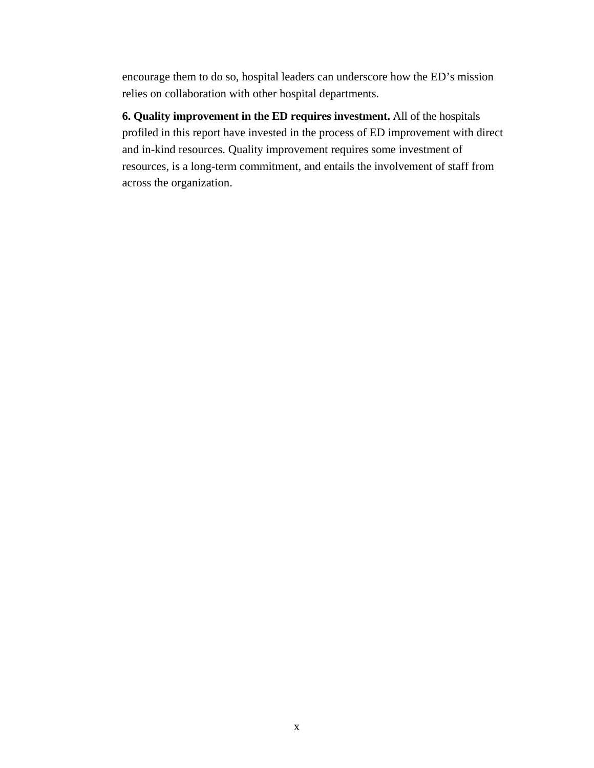encourage them to do so, hospital leaders can underscore how the ED's mission relies on collaboration with other hospital departments.

**6. Quality improvement in the ED requires investment.** All of the hospitals profiled in this report have invested in the process of ED improvement with direct and in-kind resources. Quality improvement requires some investment of resources, is a long-term commitment, and entails the involvement of staff from across the organization.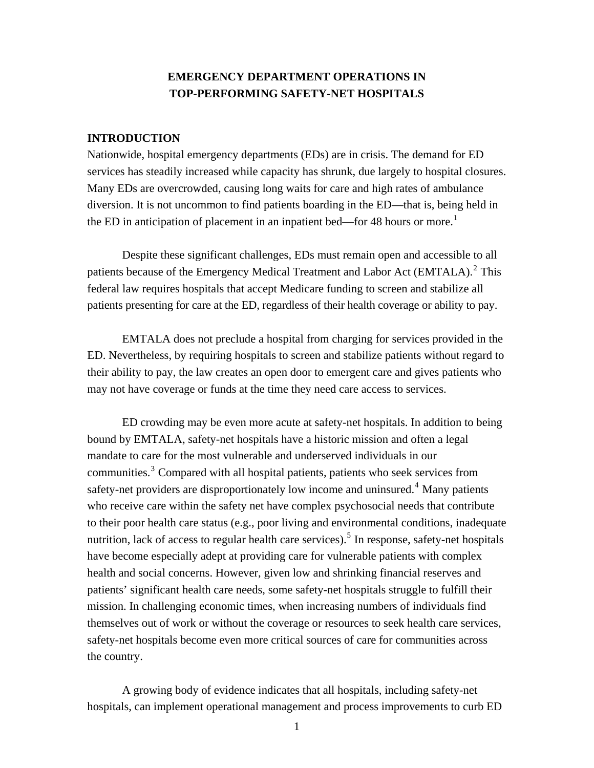# **EMERGENCY DEPARTMENT OPERATIONS IN TOP-PERFORMING SAFETY-NET HOSPITALS**

### **INTRODUCTION**

Nationwide, hospital emergency departments (EDs) are in crisis. The demand for ED services has steadily increased while capacity has shrunk, due largely to hospital closures. Many EDs are overcrowded, causing long waits for care and high rates of ambulance diversion. It is not uncommon to find patients boarding in the ED—that is, being held in the ED in anticipation of placement in an inpatient bed—for 48 hours or more.<sup>1</sup>

Despite these significant challenges, EDs must remain open and accessible to all patients because of the Emergency Medical Treatment and Labor Act (EMTALA).<sup>2</sup> This federal law requires hospitals that accept Medicare funding to screen and stabilize all patients presenting for care at the ED, regardless of their health coverage or ability to pay.

EMTALA does not preclude a hospital from charging for services provided in the ED. Nevertheless, by requiring hospitals to screen and stabilize patients without regard to their ability to pay, the law creates an open door to emergent care and gives patients who may not have coverage or funds at the time they need care access to services.

ED crowding may be even more acute at safety-net hospitals. In addition to being bound by EMTALA, safety-net hospitals have a historic mission and often a legal mandate to care for the most vulnerable and underserved individuals in our communities.<sup>3</sup> Compared with all hospital patients, patients who seek services from safety-net providers are disproportionately low income and uninsured.<sup>4</sup> Many patients who receive care within the safety net have complex psychosocial needs that contribute to their poor health care status (e.g., poor living and environmental conditions, inadequate nutrition, lack of access to regular health care services).<sup>5</sup> In response, safety-net hospitals have become especially adept at providing care for vulnerable patients with complex health and social concerns. However, given low and shrinking financial reserves and patients' significant health care needs, some safety-net hospitals struggle to fulfill their mission. In challenging economic times, when increasing numbers of individuals find themselves out of work or without the coverage or resources to seek health care services, safety-net hospitals become even more critical sources of care for communities across the country.

A growing body of evidence indicates that all hospitals, including safety-net hospitals, can implement operational management and process improvements to curb ED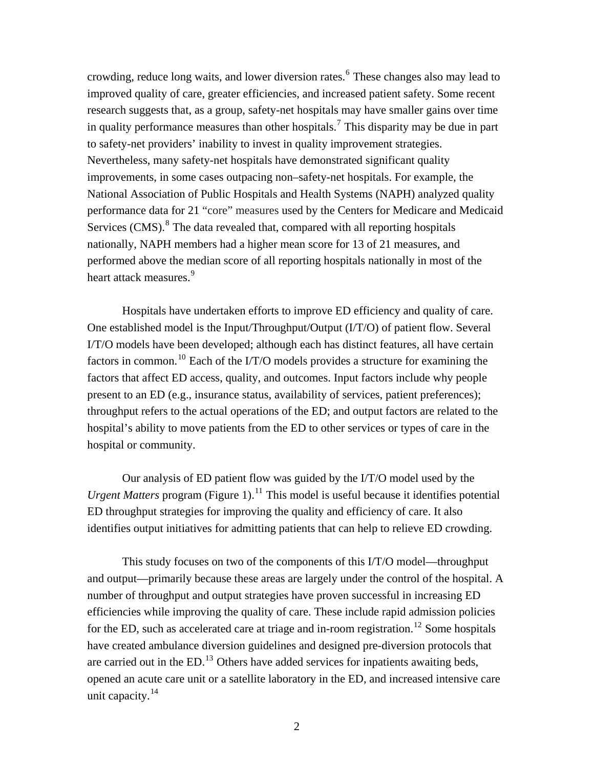crowding, reduce long waits, and lower diversion rates. <sup>6</sup> These changes also may lead to improved quality of care, greater efficiencies, and increased patient safety. Some recent research suggests that, as a group, safety-net hospitals may have smaller gains over time in quality performance measures than other hospitals.<sup>7</sup> This disparity may be due in part to safety-net providers' inability to invest in quality improvement strategies. Nevertheless, many safety-net hospitals have demonstrated significant quality improvements, in some cases outpacing non–safety-net hospitals. For example, the National Association of Public Hospitals and Health Systems (NAPH) analyzed quality performance data for 21 "core" measures used by the Centers for Medicare and Medicaid Services  $(CMS)$ .<sup>8</sup> The data revealed that, compared with all reporting hospitals nationally, NAPH members had a higher mean score for 13 of 21 measures, and performed above the median score of all reporting hospitals nationally in most of the heart attack measures.<sup>9</sup>

Hospitals have undertaken efforts to improve ED efficiency and quality of care. One established model is the Input/Throughput/Output (I/T/O) of patient flow. Several I/T/O models have been developed; although each has distinct features, all have certain factors in common.<sup>10</sup> Each of the I/T/O models provides a structure for examining the factors that affect ED access, quality, and outcomes. Input factors include why people present to an ED (e.g., insurance status, availability of services, patient preferences); throughput refers to the actual operations of the ED; and output factors are related to the hospital's ability to move patients from the ED to other services or types of care in the hospital or community.

Our analysis of ED patient flow was guided by the I/T/O model used by the *Urgent Matters* program (Figure 1).<sup>11</sup> This model is useful because it identifies potential ED throughput strategies for improving the quality and efficiency of care. It also identifies output initiatives for admitting patients that can help to relieve ED crowding.

This study focuses on two of the components of this I/T/O model—throughput and output—primarily because these areas are largely under the control of the hospital. A number of throughput and output strategies have proven successful in increasing ED efficiencies while improving the quality of care. These include rapid admission policies for the ED, such as accelerated care at triage and in-room registration.<sup>12</sup> Some hospitals have created ambulance diversion guidelines and designed pre-diversion protocols that are carried out in the ED.<sup>13</sup> Others have added services for inpatients awaiting beds, opened an acute care unit or a satellite laboratory in the ED, and increased intensive care unit capacity. $^{14}$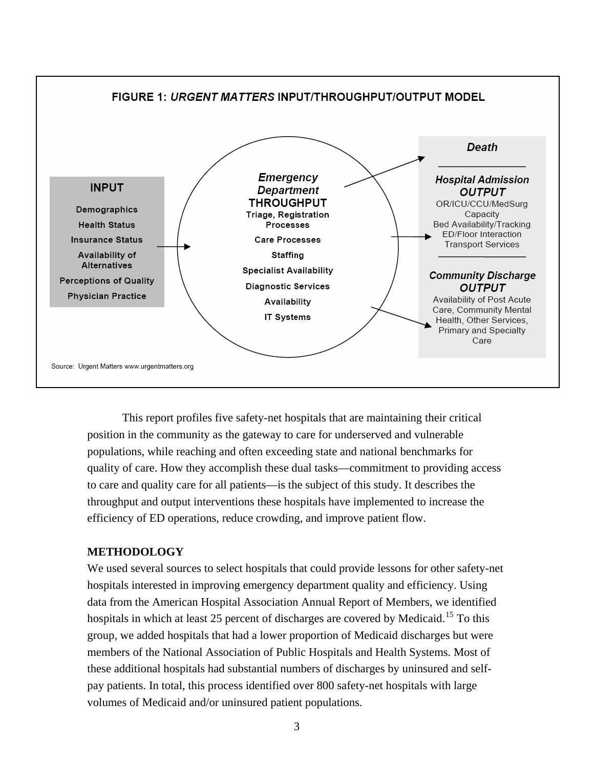

This report profiles five safety-net hospitals that are maintaining their critical position in the community as the gateway to care for underserved and vulnerable populations, while reaching and often exceeding state and national benchmarks for quality of care. How they accomplish these dual tasks—commitment to providing access to care and quality care for all patients—is the subject of this study. It describes the throughput and output interventions these hospitals have implemented to increase the efficiency of ED operations, reduce crowding, and improve patient flow.

### **METHODOLOGY**

We used several sources to select hospitals that could provide lessons for other safety-net hospitals interested in improving emergency department quality and efficiency. Using data from the American Hospital Association Annual Report of Members, we identified hospitals in which at least 25 percent of discharges are covered by Medicaid.<sup>15</sup> To this group, we added hospitals that had a lower proportion of Medicaid discharges but were members of the National Association of Public Hospitals and Health Systems. Most of these additional hospitals had substantial numbers of discharges by uninsured and selfpay patients. In total, this process identified over 800 safety-net hospitals with large volumes of Medicaid and/or uninsured patient populations.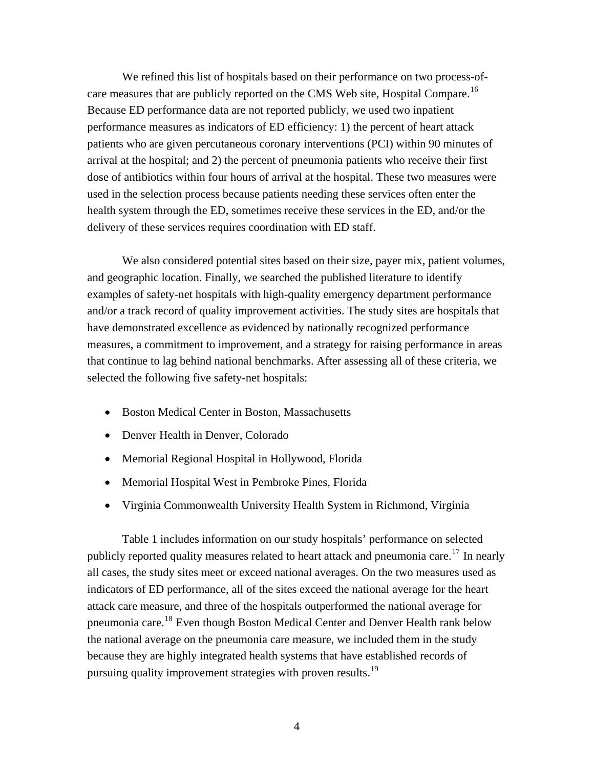We refined this list of hospitals based on their performance on two process-ofcare measures that are publicly reported on the CMS Web site, Hospital Compare.<sup>16</sup> Because ED performance data are not reported publicly, we used two inpatient performance measures as indicators of ED efficiency: 1) the percent of heart attack patients who are given percutaneous coronary interventions (PCI) within 90 minutes of arrival at the hospital; and 2) the percent of pneumonia patients who receive their first dose of antibiotics within four hours of arrival at the hospital. These two measures were used in the selection process because patients needing these services often enter the health system through the ED, sometimes receive these services in the ED, and/or the delivery of these services requires coordination with ED staff.

We also considered potential sites based on their size, payer mix, patient volumes, and geographic location. Finally, we searched the published literature to identify examples of safety-net hospitals with high-quality emergency department performance and/or a track record of quality improvement activities. The study sites are hospitals that have demonstrated excellence as evidenced by nationally recognized performance measures, a commitment to improvement, and a strategy for raising performance in areas that continue to lag behind national benchmarks. After assessing all of these criteria, we selected the following five safety-net hospitals:

- Boston Medical Center in Boston, Massachusetts
- Denver Health in Denver, Colorado
- Memorial Regional Hospital in Hollywood, Florida
- Memorial Hospital West in Pembroke Pines, Florida
- Virginia Commonwealth University Health System in Richmond, Virginia

Table 1 includes information on our study hospitals' performance on selected publicly reported quality measures related to heart attack and pneumonia care.<sup>17</sup> In nearly all cases, the study sites meet or exceed national averages. On the two measures used as indicators of ED performance, all of the sites exceed the national average for the heart attack care measure, and three of the hospitals outperformed the national average for pneumonia care.18 Even though Boston Medical Center and Denver Health rank below the national average on the pneumonia care measure, we included them in the study because they are highly integrated health systems that have established records of pursuing quality improvement strategies with proven results.<sup>19</sup>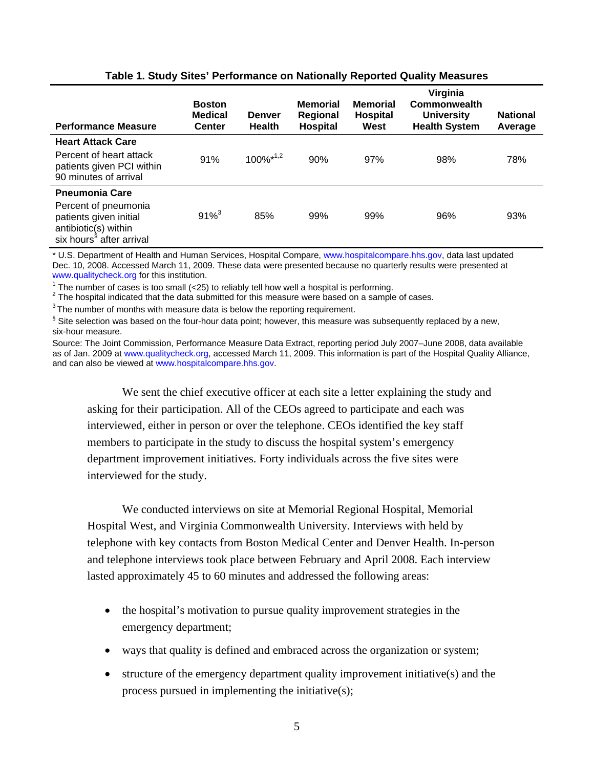| <b>Performance Measure</b>                                                                                     | <b>Boston</b><br><b>Medical</b><br><b>Center</b> | <b>Denver</b><br><b>Health</b> | <b>Memorial</b><br>Regional<br>Hospital | <b>Memorial</b><br><b>Hospital</b><br>West | Virginia<br>Commonwealth<br><b>University</b><br><b>Health System</b> | <b>National</b><br>Average |
|----------------------------------------------------------------------------------------------------------------|--------------------------------------------------|--------------------------------|-----------------------------------------|--------------------------------------------|-----------------------------------------------------------------------|----------------------------|
| <b>Heart Attack Care</b>                                                                                       |                                                  |                                |                                         |                                            |                                                                       |                            |
| Percent of heart attack<br>patients given PCI within<br>90 minutes of arrival                                  | 91%                                              | $100\%^{*1,2}$                 | 90%                                     | 97%                                        | 98%                                                                   | 78%                        |
| <b>Pneumonia Care</b>                                                                                          |                                                  |                                |                                         |                                            |                                                                       |                            |
| Percent of pneumonia<br>patients given initial<br>antibiotic(s) within<br>six hours <sup>§</sup> after arrival | $91\%^{3}$                                       | 85%                            | 99%                                     | 99%                                        | 96%                                                                   | 93%                        |

### **Table 1. Study Sites' Performance on Nationally Reported Quality Measures**

\* U.S. Department of Health and Human Services, Hospital Compare, [www.hospitalcompare.hhs.gov,](http://www.hospitalcompare.hhs.gov/) data last updated Dec. 10, 2008. Accessed March 11, 2009. These data were presented because no quarterly results were presented at [www.qualitycheck.org](http://www.qualitycheck.org/) for this institution.

<sup>1</sup> The number of cases is too small  $\langle$  <25) to reliably tell how well a hospital is performing.

 $^2$  The hospital indicated that the data submitted for this measure were based on a sample of cases.<br> $^3$  The number of months with measure data is below the reporting requirement.

 $§$  Site selection was based on the four-hour data point; however, this measure was subsequently replaced by a new, six-hour measure.

Source: The Joint Commission, Performance Measure Data Extract, reporting period July 2007–June 2008, data available as of Jan. 2009 at [www.qualitycheck.org,](http://www.qualitycheck.org/) accessed March 11, 2009. This information is part of the Hospital Quality Alliance, and can also be viewed at [www.hospitalcompare.hhs.gov.](http://www.hospitalcompare.hhs.gov/)

We sent the chief executive officer at each site a letter explaining the study and asking for their participation. All of the CEOs agreed to participate and each was interviewed, either in person or over the telephone. CEOs identified the key staff members to participate in the study to discuss the hospital system's emergency department improvement initiatives. Forty individuals across the five sites were interviewed for the study.

We conducted interviews on site at Memorial Regional Hospital, Memorial Hospital West, and Virginia Commonwealth University. Interviews with held by telephone with key contacts from Boston Medical Center and Denver Health. In-person and telephone interviews took place between February and April 2008. Each interview lasted approximately 45 to 60 minutes and addressed the following areas:

- the hospital's motivation to pursue quality improvement strategies in the emergency department;
- ways that quality is defined and embraced across the organization or system;
- structure of the emergency department quality improvement initiative(s) and the process pursued in implementing the initiative(s);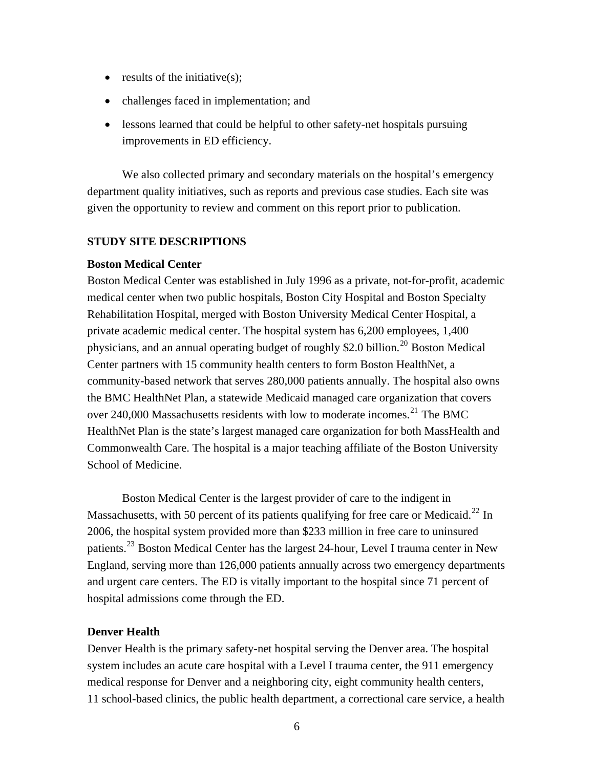- results of the initiative $(s)$ ;
- challenges faced in implementation; and
- lessons learned that could be helpful to other safety-net hospitals pursuing improvements in ED efficiency.

We also collected primary and secondary materials on the hospital's emergency department quality initiatives, such as reports and previous case studies. Each site was given the opportunity to review and comment on this report prior to publication.

### **STUDY SITE DESCRIPTIONS**

### **Boston Medical Center**

Boston Medical Center was established in July 1996 as a private, not-for-profit, academic medical center when two public hospitals, Boston City Hospital and Boston Specialty Rehabilitation Hospital, merged with Boston University Medical Center Hospital, a private academic medical center. The hospital system has 6,200 employees, 1,400 physicians, and an annual operating budget of roughly \$2.0 billion.<sup>20</sup> Boston Medical Center partners with 15 community health centers to form Boston HealthNet, a community-based network that serves 280,000 patients annually. The hospital also owns the BMC HealthNet Plan, a statewide Medicaid managed care organization that covers over 240,000 Massachusetts residents with low to moderate incomes.<sup>21</sup> The BMC HealthNet Plan is the state's largest managed care organization for both MassHealth and Commonwealth Care. The hospital is a major teaching affiliate of the Boston University School of Medicine.

Boston Medical Center is the largest provider of care to the indigent in Massachusetts, with 50 percent of its patients qualifying for free care or Medicaid.<sup>22</sup> In 2006, the hospital system provided more than \$233 million in free care to uninsured patients.<sup>23</sup> Boston Medical Center has the largest 24-hour, Level I trauma center in New England, serving more than 126,000 patients annually across two emergency departments and urgent care centers. The ED is vitally important to the hospital since 71 percent of hospital admissions come through the ED.

### **Denver Health**

Denver Health is the primary safety-net hospital serving the Denver area. The hospital system includes an acute care hospital with a Level I trauma center, the 911 emergency medical response for Denver and a neighboring city, eight community health centers, 11 school-based clinics, the public health department, a correctional care service, a health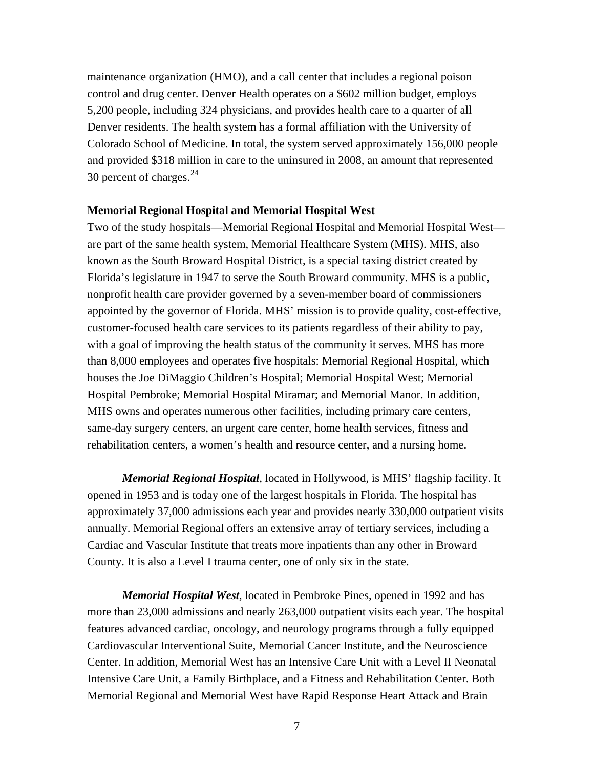maintenance organization (HMO), and a call center that includes a regional poison control and drug center. Denver Health operates on a \$602 million budget, employs 5,200 people, including 324 physicians, and provides health care to a quarter of all Denver residents. The health system has a formal affiliation with the University of Colorado School of Medicine. In total, the system served approximately 156,000 people and provided \$318 million in care to the uninsured in 2008, an amount that represented 30 percent of charges.<sup>24</sup>

### **Memorial Regional Hospital and Memorial Hospital West**

Two of the study hospitals—Memorial Regional Hospital and Memorial Hospital West are part of the same health system, Memorial Healthcare System (MHS). MHS, also known as the South Broward Hospital District, is a special taxing district created by Florida's legislature in 1947 to serve the South Broward community. MHS is a public, nonprofit health care provider governed by a seven-member board of commissioners appointed by the governor of Florida. MHS' mission is to provide quality, cost-effective, customer-focused health care services to its patients regardless of their ability to pay, with a goal of improving the health status of the community it serves. MHS has more than 8,000 employees and operates five hospitals: Memorial Regional Hospital, which houses the Joe DiMaggio Children's Hospital; Memorial Hospital West; Memorial Hospital Pembroke; Memorial Hospital Miramar; and Memorial Manor. In addition, MHS owns and operates numerous other facilities, including primary care centers, same-day surgery centers, an urgent care center, home health services, fitness and rehabilitation centers, a women's health and resource center, and a nursing home.

*Memorial Regional Hospital,* located in Hollywood, is MHS' flagship facility. It opened in 1953 and is today one of the largest hospitals in Florida. The hospital has approximately 37,000 admissions each year and provides nearly 330,000 outpatient visits annually. Memorial Regional offers an extensive array of tertiary services, including a Cardiac and Vascular Institute that treats more inpatients than any other in Broward County. It is also a Level I trauma center, one of only six in the state.

*Memorial Hospital West,* located in Pembroke Pines, opened in 1992 and has more than 23,000 admissions and nearly 263,000 outpatient visits each year. The hospital features advanced cardiac, oncology, and neurology programs through a fully equipped Cardiovascular Interventional Suite, Memorial Cancer Institute, and the Neuroscience Center. In addition, Memorial West has an Intensive Care Unit with a Level II Neonatal Intensive Care Unit, a Family Birthplace, and a Fitness and Rehabilitation Center. Both Memorial Regional and Memorial West have Rapid Response Heart Attack and Brain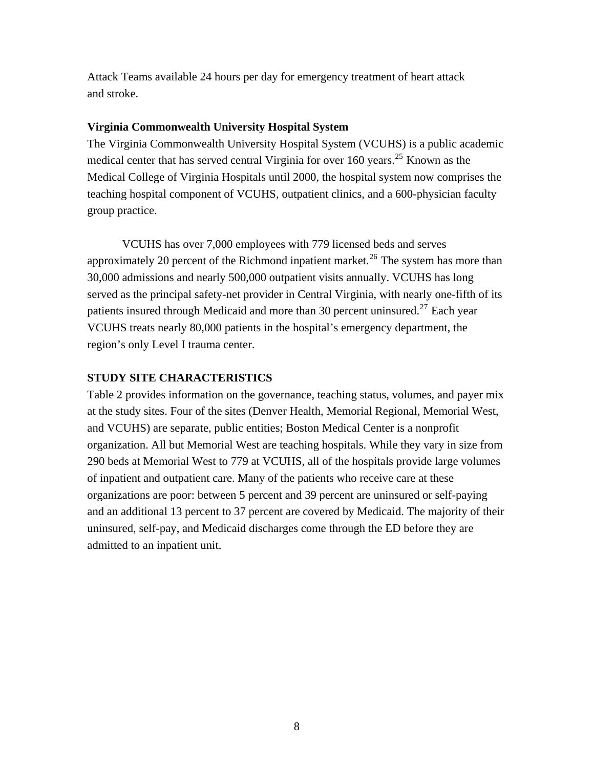Attack Teams available 24 hours per day for emergency treatment of heart attack and stroke.

### **Virginia Commonwealth University Hospital System**

The Virginia Commonwealth University Hospital System (VCUHS) is a public academic medical center that has served central Virginia for over 160 years.<sup>25</sup> Known as the Medical College of Virginia Hospitals until 2000, the hospital system now comprises the teaching hospital component of VCUHS, outpatient clinics, and a 600-physician faculty group practice.

VCUHS has over 7,000 employees with 779 licensed beds and serves approximately 20 percent of the Richmond inpatient market.<sup>26</sup> The system has more than 30,000 admissions and nearly 500,000 outpatient visits annually. VCUHS has long served as the principal safety-net provider in Central Virginia, with nearly one-fifth of its patients insured through Medicaid and more than 30 percent uninsured.<sup>27</sup> Each year VCUHS treats nearly 80,000 patients in the hospital's emergency department, the region's only Level I trauma center.

### **STUDY SITE CHARACTERISTICS**

Table 2 provides information on the governance, teaching status, volumes, and payer mix at the study sites. Four of the sites (Denver Health, Memorial Regional, Memorial West, and VCUHS) are separate, public entities; Boston Medical Center is a nonprofit organization. All but Memorial West are teaching hospitals. While they vary in size from 290 beds at Memorial West to 779 at VCUHS, all of the hospitals provide large volumes of inpatient and outpatient care. Many of the patients who receive care at these organizations are poor: between 5 percent and 39 percent are uninsured or self-paying and an additional 13 percent to 37 percent are covered by Medicaid. The majority of their uninsured, self-pay, and Medicaid discharges come through the ED before they are admitted to an inpatient unit.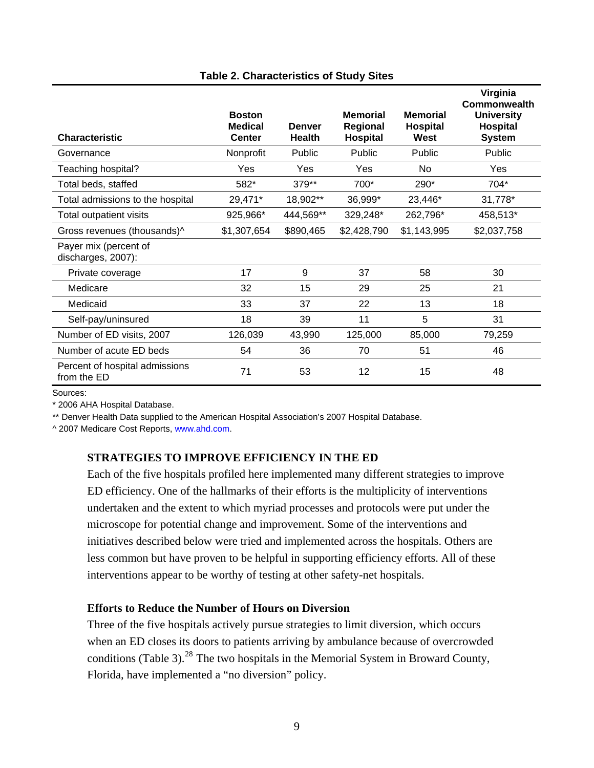| <b>Characteristic</b>                         | <b>Boston</b><br><b>Medical</b><br><b>Center</b> | <b>Denver</b><br><b>Health</b> | <b>Memorial</b><br>Regional<br><b>Hospital</b> | <b>Memorial</b><br>Hospital<br>West | Virginia<br>Commonwealth<br><b>University</b><br>Hospital<br><b>System</b> |
|-----------------------------------------------|--------------------------------------------------|--------------------------------|------------------------------------------------|-------------------------------------|----------------------------------------------------------------------------|
| Governance                                    | Nonprofit                                        | Public                         | Public                                         | Public                              | Public                                                                     |
| Teaching hospital?                            | Yes                                              | Yes                            | Yes                                            | N <sub>0</sub>                      | Yes                                                                        |
| Total beds, staffed                           | 582*                                             | 379**                          | 700*                                           | 290*                                | 704*                                                                       |
| Total admissions to the hospital              | 29,471*                                          | 18,902**                       | 36,999*                                        | 23,446*                             | 31,778*                                                                    |
| Total outpatient visits                       | 925,966*                                         | 444,569**                      | 329,248*                                       | 262,796*                            | 458,513*                                                                   |
| Gross revenues (thousands)^                   | \$1,307,654                                      | \$890,465                      | \$2,428,790                                    | \$1,143,995                         | \$2,037,758                                                                |
| Payer mix (percent of<br>discharges, 2007):   |                                                  |                                |                                                |                                     |                                                                            |
| Private coverage                              | 17                                               | 9                              | 37                                             | 58                                  | 30                                                                         |
| Medicare                                      | 32                                               | 15                             | 29                                             | 25                                  | 21                                                                         |
| Medicaid                                      | 33                                               | 37                             | 22                                             | 13                                  | 18                                                                         |
| Self-pay/uninsured                            | 18                                               | 39                             | 11                                             | 5                                   | 31                                                                         |
| Number of ED visits, 2007                     | 126,039                                          | 43,990                         | 125,000                                        | 85,000                              | 79,259                                                                     |
| Number of acute ED beds                       | 54                                               | 36                             | 70                                             | 51                                  | 46                                                                         |
| Percent of hospital admissions<br>from the ED | 71                                               | 53                             | 12                                             | 15                                  | 48                                                                         |

### **Table 2. Characteristics of Study Sites**

Sources:

\* 2006 AHA Hospital Database.

\*\* Denver Health Data supplied to the American Hospital Association's 2007 Hospital Database.

^ 2007 Medicare Cost Reports, [www.ahd.com.](http://www.ahd.com/)

# **STRATEGIES TO IMPROVE EFFICIENCY IN THE ED**

Each of the five hospitals profiled here implemented many different strategies to improve ED efficiency. One of the hallmarks of their efforts is the multiplicity of interventions undertaken and the extent to which myriad processes and protocols were put under the microscope for potential change and improvement. Some of the interventions and initiatives described below were tried and implemented across the hospitals. Others are less common but have proven to be helpful in supporting efficiency efforts. All of these interventions appear to be worthy of testing at other safety-net hospitals.

### **Efforts to Reduce the Number of Hours on Diversion**

Three of the five hospitals actively pursue strategies to limit diversion, which occurs when an ED closes its doors to patients arriving by ambulance because of overcrowded conditions (Table 3). $^{28}$  The two hospitals in the Memorial System in Broward County, Florida, have implemented a "no diversion" policy.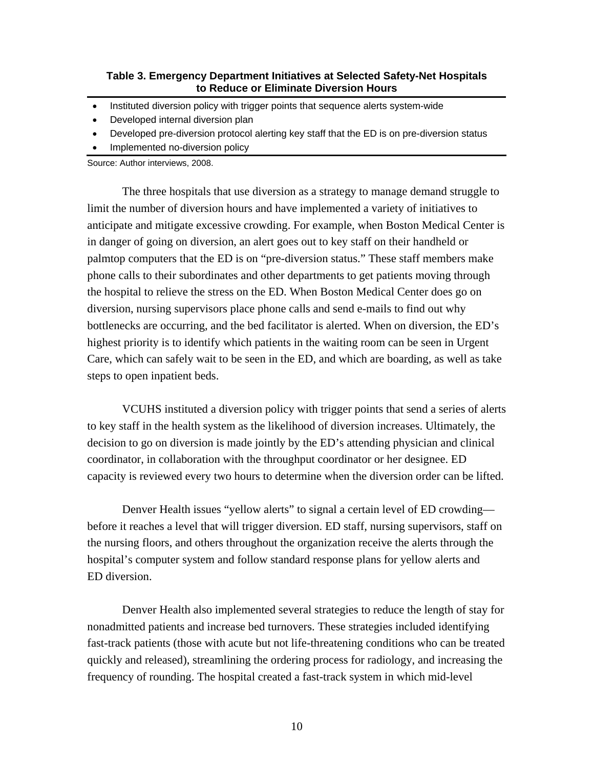### **Table 3. Emergency Department Initiatives at Selected Safety-Net Hospitals to Reduce or Eliminate Diversion Hours**

- Instituted diversion policy with trigger points that sequence alerts system-wide
- Developed internal diversion plan
- Developed pre-diversion protocol alerting key staff that the ED is on pre-diversion status
- Implemented no-diversion policy

Source: Author interviews, 2008.

The three hospitals that use diversion as a strategy to manage demand struggle to limit the number of diversion hours and have implemented a variety of initiatives to anticipate and mitigate excessive crowding. For example, when Boston Medical Center is in danger of going on diversion, an alert goes out to key staff on their handheld or palmtop computers that the ED is on "pre-diversion status." These staff members make phone calls to their subordinates and other departments to get patients moving through the hospital to relieve the stress on the ED. When Boston Medical Center does go on diversion, nursing supervisors place phone calls and send e-mails to find out why bottlenecks are occurring, and the bed facilitator is alerted. When on diversion, the ED's highest priority is to identify which patients in the waiting room can be seen in Urgent Care, which can safely wait to be seen in the ED, and which are boarding, as well as take steps to open inpatient beds.

VCUHS instituted a diversion policy with trigger points that send a series of alerts to key staff in the health system as the likelihood of diversion increases. Ultimately, the decision to go on diversion is made jointly by the ED's attending physician and clinical coordinator, in collaboration with the throughput coordinator or her designee. ED capacity is reviewed every two hours to determine when the diversion order can be lifted.

Denver Health issues "yellow alerts" to signal a certain level of ED crowding before it reaches a level that will trigger diversion. ED staff, nursing supervisors, staff on the nursing floors, and others throughout the organization receive the alerts through the hospital's computer system and follow standard response plans for yellow alerts and ED diversion.

Denver Health also implemented several strategies to reduce the length of stay for nonadmitted patients and increase bed turnovers. These strategies included identifying fast-track patients (those with acute but not life-threatening conditions who can be treated quickly and released), streamlining the ordering process for radiology, and increasing the frequency of rounding. The hospital created a fast-track system in which mid-level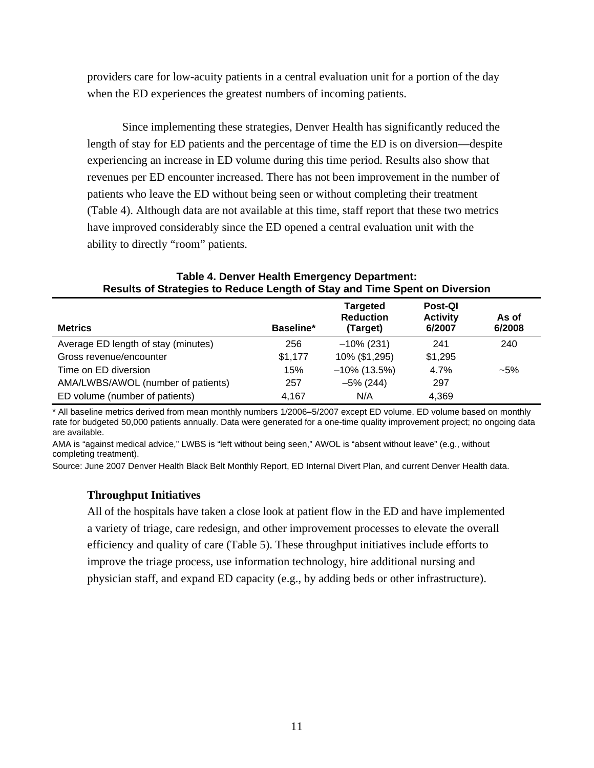providers care for low-acuity patients in a central evaluation unit for a portion of the day when the ED experiences the greatest numbers of incoming patients.

Since implementing these strategies, Denver Health has significantly reduced the length of stay for ED patients and the percentage of time the ED is on diversion—despite experiencing an increase in ED volume during this time period. Results also show that revenues per ED encounter increased. There has not been improvement in the number of patients who leave the ED without being seen or without completing their treatment (Table 4). Although data are not available at this time, staff report that these two metrics have improved considerably since the ED opened a central evaluation unit with the ability to directly "room" patients.

| nosans or otratogics to nouace Ecrigin or otay and Time opent on Diversion |           |                                          |                                      |                 |
|----------------------------------------------------------------------------|-----------|------------------------------------------|--------------------------------------|-----------------|
| <b>Metrics</b>                                                             | Baseline* | Targeted<br><b>Reduction</b><br>(Target) | Post-QI<br><b>Activity</b><br>6/2007 | As of<br>6/2008 |
| Average ED length of stay (minutes)                                        | 256       | $-10\%$ (231)                            | 241                                  | 240             |
| Gross revenue/encounter                                                    | \$1,177   | 10% (\$1,295)                            | \$1,295                              |                 |
| Time on ED diversion                                                       | 15%       | $-10\%$ (13.5%)                          | 4.7%                                 | $-5%$           |
| AMA/LWBS/AWOL (number of patients)                                         | 257       | $-5\%$ (244)                             | 297                                  |                 |
| ED volume (number of patients)                                             | 4,167     | N/A                                      | 4,369                                |                 |

**Table 4. Denver Health Emergency Department: Results of Strategies to Reduce Length of Stay and Time Spent on Diversion** 

\* All baseline metrics derived from mean monthly numbers 1/2006**–**5/2007 except ED volume. ED volume based on monthly rate for budgeted 50,000 patients annually. Data were generated for a one-time quality improvement project; no ongoing data are available.

AMA is "against medical advice," LWBS is "left without being seen," AWOL is "absent without leave" (e.g., without completing treatment).

Source: June 2007 Denver Health Black Belt Monthly Report, ED Internal Divert Plan, and current Denver Health data.

### **Throughput Initiatives**

All of the hospitals have taken a close look at patient flow in the ED and have implemented a variety of triage, care redesign, and other improvement processes to elevate the overall efficiency and quality of care (Table 5). These throughput initiatives include efforts to improve the triage process, use information technology, hire additional nursing and physician staff, and expand ED capacity (e.g., by adding beds or other infrastructure).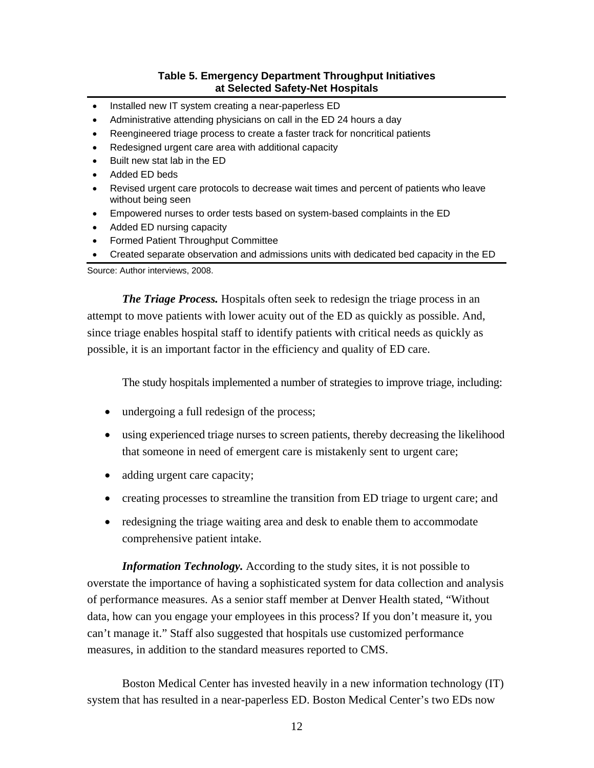# **Table 5. Emergency Department Throughput Initiatives at Selected Safety-Net Hospitals**

- Installed new IT system creating a near-paperless ED
- Administrative attending physicians on call in the ED 24 hours a day
- Reengineered triage process to create a faster track for noncritical patients
- Redesigned urgent care area with additional capacity
- Built new stat lab in the ED
- Added ED beds
- Revised urgent care protocols to decrease wait times and percent of patients who leave without being seen
- Empowered nurses to order tests based on system-based complaints in the ED
- Added ED nursing capacity
- Formed Patient Throughput Committee
- Created separate observation and admissions units with dedicated bed capacity in the ED

Source: Author interviews, 2008.

*The Triage Process.* Hospitals often seek to redesign the triage process in an attempt to move patients with lower acuity out of the ED as quickly as possible. And, since triage enables hospital staff to identify patients with critical needs as quickly as possible, it is an important factor in the efficiency and quality of ED care.

The study hospitals implemented a number of strategies to improve triage, including:

- undergoing a full redesign of the process;
- using experienced triage nurses to screen patients, thereby decreasing the likelihood that someone in need of emergent care is mistakenly sent to urgent care;
- adding urgent care capacity;
- creating processes to streamline the transition from ED triage to urgent care; and
- redesigning the triage waiting area and desk to enable them to accommodate comprehensive patient intake.

*Information Technology.* According to the study sites, it is not possible to overstate the importance of having a sophisticated system for data collection and analysis of performance measures. As a senior staff member at Denver Health stated, "Without data, how can you engage your employees in this process? If you don't measure it, you can't manage it." Staff also suggested that hospitals use customized performance measures, in addition to the standard measures reported to CMS.

Boston Medical Center has invested heavily in a new information technology (IT) system that has resulted in a near-paperless ED. Boston Medical Center's two EDs now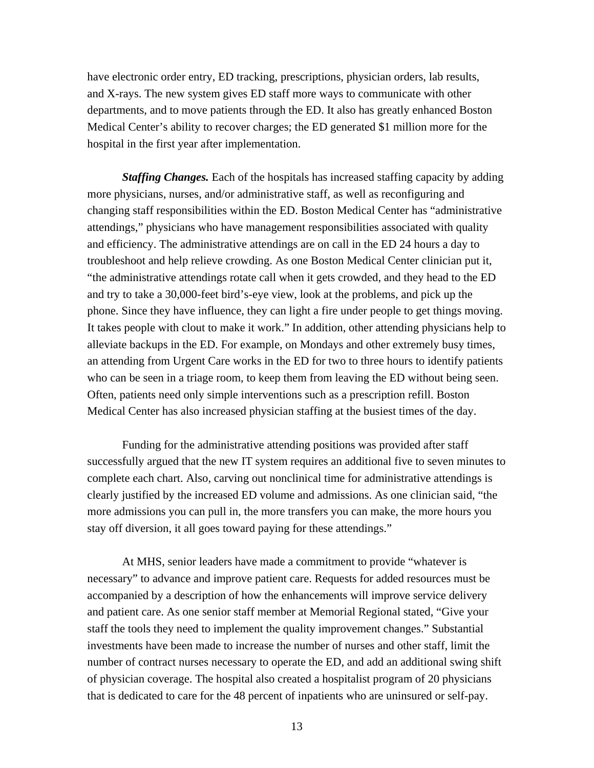have electronic order entry, ED tracking, prescriptions, physician orders, lab results, and X-rays. The new system gives ED staff more ways to communicate with other departments, and to move patients through the ED. It also has greatly enhanced Boston Medical Center's ability to recover charges; the ED generated \$1 million more for the hospital in the first year after implementation.

*Staffing Changes.* Each of the hospitals has increased staffing capacity by adding more physicians, nurses, and/or administrative staff, as well as reconfiguring and changing staff responsibilities within the ED. Boston Medical Center has "administrative attendings," physicians who have management responsibilities associated with quality and efficiency. The administrative attendings are on call in the ED 24 hours a day to troubleshoot and help relieve crowding. As one Boston Medical Center clinician put it, "the administrative attendings rotate call when it gets crowded, and they head to the ED and try to take a 30,000-feet bird's-eye view, look at the problems, and pick up the phone. Since they have influence, they can light a fire under people to get things moving. It takes people with clout to make it work." In addition, other attending physicians help to alleviate backups in the ED. For example, on Mondays and other extremely busy times, an attending from Urgent Care works in the ED for two to three hours to identify patients who can be seen in a triage room, to keep them from leaving the ED without being seen. Often, patients need only simple interventions such as a prescription refill. Boston Medical Center has also increased physician staffing at the busiest times of the day.

Funding for the administrative attending positions was provided after staff successfully argued that the new IT system requires an additional five to seven minutes to complete each chart. Also, carving out nonclinical time for administrative attendings is clearly justified by the increased ED volume and admissions. As one clinician said, "the more admissions you can pull in, the more transfers you can make, the more hours you stay off diversion, it all goes toward paying for these attendings."

At MHS, senior leaders have made a commitment to provide "whatever is necessary" to advance and improve patient care. Requests for added resources must be accompanied by a description of how the enhancements will improve service delivery and patient care. As one senior staff member at Memorial Regional stated, "Give your staff the tools they need to implement the quality improvement changes." Substantial investments have been made to increase the number of nurses and other staff, limit the number of contract nurses necessary to operate the ED, and add an additional swing shift of physician coverage. The hospital also created a hospitalist program of 20 physicians that is dedicated to care for the 48 percent of inpatients who are uninsured or self-pay.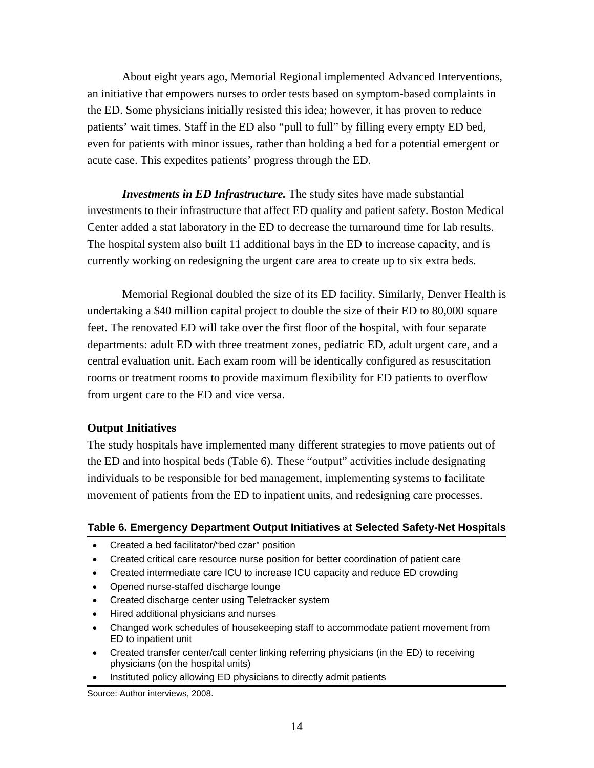About eight years ago, Memorial Regional implemented Advanced Interventions, an initiative that empowers nurses to order tests based on symptom-based complaints in the ED. Some physicians initially resisted this idea; however, it has proven to reduce patients' wait times. Staff in the ED also "pull to full" by filling every empty ED bed, even for patients with minor issues, rather than holding a bed for a potential emergent or acute case. This expedites patients' progress through the ED.

*Investments in ED Infrastructure.* The study sites have made substantial investments to their infrastructure that affect ED quality and patient safety. Boston Medical Center added a stat laboratory in the ED to decrease the turnaround time for lab results. The hospital system also built 11 additional bays in the ED to increase capacity, and is currently working on redesigning the urgent care area to create up to six extra beds.

Memorial Regional doubled the size of its ED facility. Similarly, Denver Health is undertaking a \$40 million capital project to double the size of their ED to 80,000 square feet. The renovated ED will take over the first floor of the hospital, with four separate departments: adult ED with three treatment zones, pediatric ED, adult urgent care, and a central evaluation unit. Each exam room will be identically configured as resuscitation rooms or treatment rooms to provide maximum flexibility for ED patients to overflow from urgent care to the ED and vice versa.

### **Output Initiatives**

The study hospitals have implemented many different strategies to move patients out of the ED and into hospital beds (Table 6). These "output" activities include designating individuals to be responsible for bed management, implementing systems to facilitate movement of patients from the ED to inpatient units, and redesigning care processes.

### **Table 6. Emergency Department Output Initiatives at Selected Safety-Net Hospitals**

- Created a bed facilitator/"bed czar" position
- Created critical care resource nurse position for better coordination of patient care
- Created intermediate care ICU to increase ICU capacity and reduce ED crowding
- Opened nurse-staffed discharge lounge
- Created discharge center using Teletracker system
- Hired additional physicians and nurses
- Changed work schedules of housekeeping staff to accommodate patient movement from ED to inpatient unit
- Created transfer center/call center linking referring physicians (in the ED) to receiving physicians (on the hospital units)
- Instituted policy allowing ED physicians to directly admit patients

Source: Author interviews, 2008.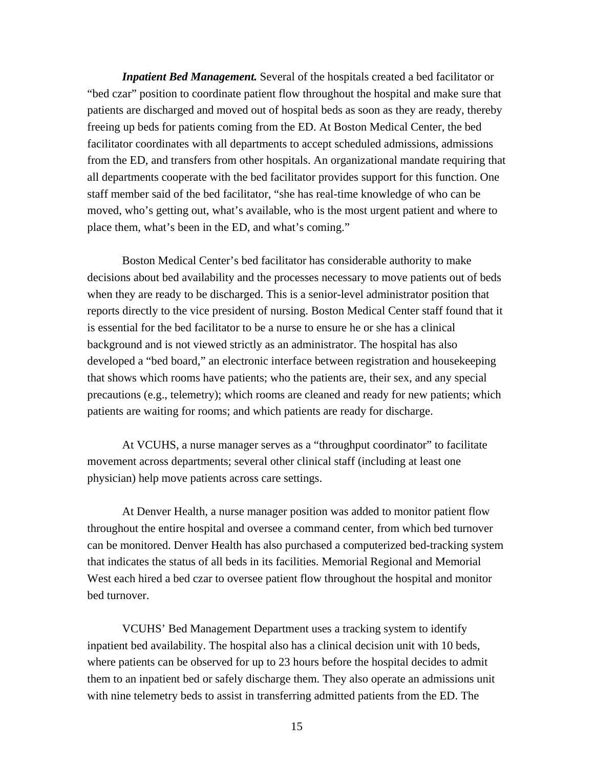*Inpatient Bed Management.* Several of the hospitals created a bed facilitator or "bed czar" position to coordinate patient flow throughout the hospital and make sure that patients are discharged and moved out of hospital beds as soon as they are ready, thereby freeing up beds for patients coming from the ED. At Boston Medical Center, the bed facilitator coordinates with all departments to accept scheduled admissions, admissions from the ED, and transfers from other hospitals. An organizational mandate requiring that all departments cooperate with the bed facilitator provides support for this function. One staff member said of the bed facilitator, "she has real-time knowledge of who can be moved, who's getting out, what's available, who is the most urgent patient and where to place them, what's been in the ED, and what's coming."

Boston Medical Center's bed facilitator has considerable authority to make decisions about bed availability and the processes necessary to move patients out of beds when they are ready to be discharged. This is a senior-level administrator position that reports directly to the vice president of nursing. Boston Medical Center staff found that it is essential for the bed facilitator to be a nurse to ensure he or she has a clinical background and is not viewed strictly as an administrator. The hospital has also developed a "bed board," an electronic interface between registration and housekeeping that shows which rooms have patients; who the patients are, their sex, and any special precautions (e.g., telemetry); which rooms are cleaned and ready for new patients; which patients are waiting for rooms; and which patients are ready for discharge.

At VCUHS, a nurse manager serves as a "throughput coordinator" to facilitate movement across departments; several other clinical staff (including at least one physician) help move patients across care settings.

At Denver Health, a nurse manager position was added to monitor patient flow throughout the entire hospital and oversee a command center, from which bed turnover can be monitored. Denver Health has also purchased a computerized bed-tracking system that indicates the status of all beds in its facilities. Memorial Regional and Memorial West each hired a bed czar to oversee patient flow throughout the hospital and monitor bed turnover.

VCUHS' Bed Management Department uses a tracking system to identify inpatient bed availability. The hospital also has a clinical decision unit with 10 beds, where patients can be observed for up to 23 hours before the hospital decides to admit them to an inpatient bed or safely discharge them. They also operate an admissions unit with nine telemetry beds to assist in transferring admitted patients from the ED. The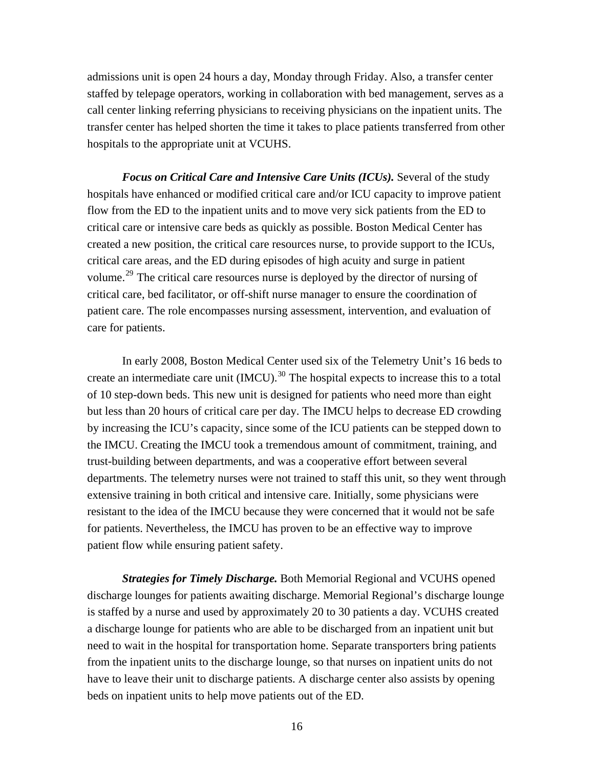admissions unit is open 24 hours a day, Monday through Friday. Also, a transfer center staffed by telepage operators, working in collaboration with bed management, serves as a call center linking referring physicians to receiving physicians on the inpatient units. The transfer center has helped shorten the time it takes to place patients transferred from other hospitals to the appropriate unit at VCUHS.

*Focus on Critical Care and Intensive Care Units (ICUs).* Several of the study hospitals have enhanced or modified critical care and/or ICU capacity to improve patient flow from the ED to the inpatient units and to move very sick patients from the ED to critical care or intensive care beds as quickly as possible. Boston Medical Center has created a new position, the critical care resources nurse, to provide support to the ICUs, critical care areas, and the ED during episodes of high acuity and surge in patient volume.29 The critical care resources nurse is deployed by the director of nursing of critical care, bed facilitator, or off-shift nurse manager to ensure the coordination of patient care. The role encompasses nursing assessment, intervention, and evaluation of care for patients.

In early 2008, Boston Medical Center used six of the Telemetry Unit's 16 beds to create an intermediate care unit (IMCU).<sup>30</sup> The hospital expects to increase this to a total of 10 step-down beds. This new unit is designed for patients who need more than eight but less than 20 hours of critical care per day. The IMCU helps to decrease ED crowding by increasing the ICU's capacity, since some of the ICU patients can be stepped down to the IMCU. Creating the IMCU took a tremendous amount of commitment, training, and trust-building between departments, and was a cooperative effort between several departments. The telemetry nurses were not trained to staff this unit, so they went through extensive training in both critical and intensive care. Initially, some physicians were resistant to the idea of the IMCU because they were concerned that it would not be safe for patients. Nevertheless, the IMCU has proven to be an effective way to improve patient flow while ensuring patient safety.

*Strategies for Timely Discharge.* Both Memorial Regional and VCUHS opened discharge lounges for patients awaiting discharge. Memorial Regional's discharge lounge is staffed by a nurse and used by approximately 20 to 30 patients a day. VCUHS created a discharge lounge for patients who are able to be discharged from an inpatient unit but need to wait in the hospital for transportation home. Separate transporters bring patients from the inpatient units to the discharge lounge, so that nurses on inpatient units do not have to leave their unit to discharge patients. A discharge center also assists by opening beds on inpatient units to help move patients out of the ED.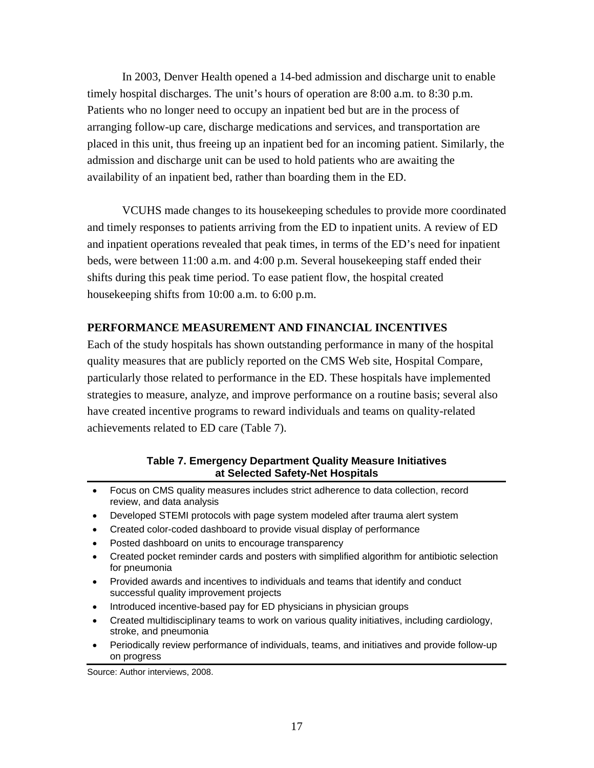In 2003, Denver Health opened a 14-bed admission and discharge unit to enable timely hospital discharges. The unit's hours of operation are 8:00 a.m. to 8:30 p.m. Patients who no longer need to occupy an inpatient bed but are in the process of arranging follow-up care, discharge medications and services, and transportation are placed in this unit, thus freeing up an inpatient bed for an incoming patient. Similarly, the admission and discharge unit can be used to hold patients who are awaiting the availability of an inpatient bed, rather than boarding them in the ED.

VCUHS made changes to its housekeeping schedules to provide more coordinated and timely responses to patients arriving from the ED to inpatient units. A review of ED and inpatient operations revealed that peak times, in terms of the ED's need for inpatient beds, were between 11:00 a.m. and 4:00 p.m. Several housekeeping staff ended their shifts during this peak time period. To ease patient flow, the hospital created housekeeping shifts from 10:00 a.m. to 6:00 p.m.

# **PERFORMANCE MEASUREMENT AND FINANCIAL INCENTIVES**

Each of the study hospitals has shown outstanding performance in many of the hospital quality measures that are publicly reported on the CMS Web site, Hospital Compare, particularly those related to performance in the ED. These hospitals have implemented strategies to measure, analyze, and improve performance on a routine basis; several also have created incentive programs to reward individuals and teams on quality-related achievements related to ED care (Table 7).

### **Table 7. Emergency Department Quality Measure Initiatives at Selected Safety-Net Hospitals**

- Focus on CMS quality measures includes strict adherence to data collection, record review, and data analysis
- Developed STEMI protocols with page system modeled after trauma alert system
- Created color-coded dashboard to provide visual display of performance
- Posted dashboard on units to encourage transparency
- Created pocket reminder cards and posters with simplified algorithm for antibiotic selection for pneumonia
- Provided awards and incentives to individuals and teams that identify and conduct successful quality improvement projects
- Introduced incentive-based pay for ED physicians in physician groups
- Created multidisciplinary teams to work on various quality initiatives, including cardiology, stroke, and pneumonia
- Periodically review performance of individuals, teams, and initiatives and provide follow-up on progress

Source: Author interviews, 2008.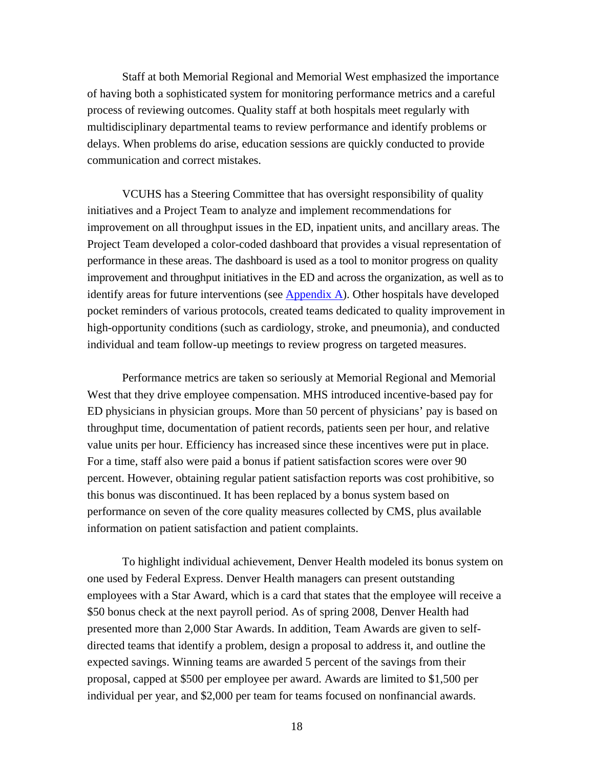Staff at both Memorial Regional and Memorial West emphasized the importance of having both a sophisticated system for monitoring performance metrics and a careful process of reviewing outcomes. Quality staff at both hospitals meet regularly with multidisciplinary departmental teams to review performance and identify problems or delays. When problems do arise, education sessions are quickly conducted to provide communication and correct mistakes.

VCUHS has a Steering Committee that has oversight responsibility of quality initiatives and a Project Team to analyze and implement recommendations for improvement on all throughput issues in the ED, inpatient units, and ancillary areas. The Project Team developed a color-coded dashboard that provides a visual representation of performance in these areas. The dashboard is used as a tool to monitor progress on quality improvement and throughput initiatives in the ED and across the organization, as well as to identify areas for future interventions (see  $\Delta$ ppendix  $\Delta$ ). Other hospitals have developed pocket reminders of various protocols, created teams dedicated to quality improvement in high-opportunity conditions (such as cardiology, stroke, and pneumonia), and conducted individual and team follow-up meetings to review progress on targeted measures.

Performance metrics are taken so seriously at Memorial Regional and Memorial West that they drive employee compensation. MHS introduced incentive-based pay for ED physicians in physician groups. More than 50 percent of physicians' pay is based on throughput time, documentation of patient records, patients seen per hour, and relative value units per hour. Efficiency has increased since these incentives were put in place. For a time, staff also were paid a bonus if patient satisfaction scores were over 90 percent. However, obtaining regular patient satisfaction reports was cost prohibitive, so this bonus was discontinued. It has been replaced by a bonus system based on performance on seven of the core quality measures collected by CMS, plus available information on patient satisfaction and patient complaints.

To highlight individual achievement, Denver Health modeled its bonus system on one used by Federal Express. Denver Health managers can present outstanding employees with a Star Award, which is a card that states that the employee will receive a \$50 bonus check at the next payroll period. As of spring 2008, Denver Health had presented more than 2,000 Star Awards. In addition, Team Awards are given to selfdirected teams that identify a problem, design a proposal to address it, and outline the expected savings. Winning teams are awarded 5 percent of the savings from their proposal, capped at \$500 per employee per award. Awards are limited to \$1,500 per individual per year, and \$2,000 per team for teams focused on nonfinancial awards.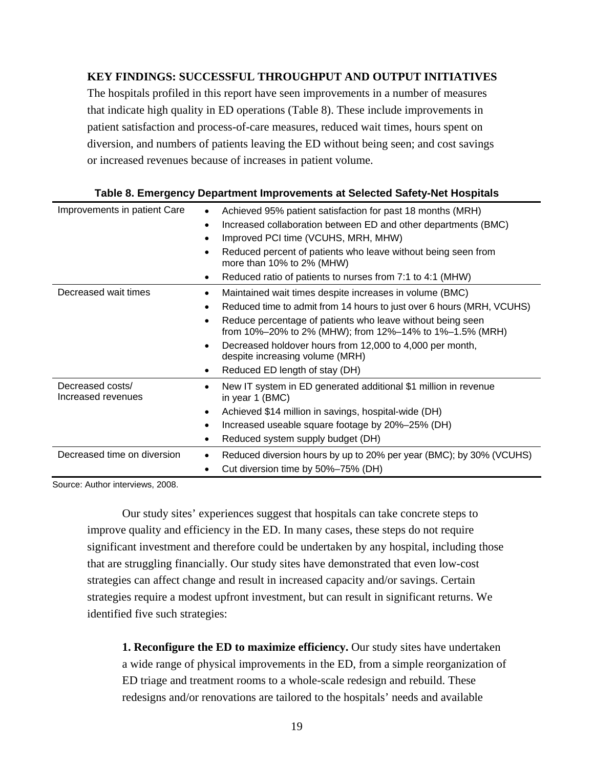# **KEY FINDINGS: SUCCESSFUL THROUGHPUT AND OUTPUT INITIATIVES**

The hospitals profiled in this report have seen improvements in a number of measures that indicate high quality in ED operations (Table 8). These include improvements in patient satisfaction and process-of-care measures, reduced wait times, hours spent on diversion, and numbers of patients leaving the ED without being seen; and cost savings or increased revenues because of increases in patient volume.

| Improvements in patient Care           | Achieved 95% patient satisfaction for past 18 months (MRH)<br>Increased collaboration between ED and other departments (BMC)<br>٠<br>Improved PCI time (VCUHS, MRH, MHW)<br>Reduced percent of patients who leave without being seen from<br>more than 10% to 2% (MHW)<br>Reduced ratio of patients to nurses from 7:1 to 4:1 (MHW)                                                        |
|----------------------------------------|--------------------------------------------------------------------------------------------------------------------------------------------------------------------------------------------------------------------------------------------------------------------------------------------------------------------------------------------------------------------------------------------|
| Decreased wait times                   | Maintained wait times despite increases in volume (BMC)<br>Reduced time to admit from 14 hours to just over 6 hours (MRH, VCUHS)<br>Reduce percentage of patients who leave without being seen<br>from 10%-20% to 2% (MHW); from 12%-14% to 1%-1.5% (MRH)<br>Decreased holdover hours from 12,000 to 4,000 per month,<br>despite increasing volume (MRH)<br>Reduced ED length of stay (DH) |
| Decreased costs/<br>Increased revenues | New IT system in ED generated additional \$1 million in revenue<br>in year 1 (BMC)<br>Achieved \$14 million in savings, hospital-wide (DH)<br>٠<br>Increased useable square footage by 20%-25% (DH)<br>Reduced system supply budget (DH)                                                                                                                                                   |
| Decreased time on diversion            | Reduced diversion hours by up to 20% per year (BMC); by 30% (VCUHS)<br>Cut diversion time by 50%-75% (DH)                                                                                                                                                                                                                                                                                  |

#### **Table 8. Emergency Department Improvements at Selected Safety-Net Hospitals**

Source: Author interviews, 2008.

Our study sites' experiences suggest that hospitals can take concrete steps to improve quality and efficiency in the ED. In many cases, these steps do not require significant investment and therefore could be undertaken by any hospital, including those that are struggling financially. Our study sites have demonstrated that even low-cost strategies can affect change and result in increased capacity and/or savings. Certain strategies require a modest upfront investment, but can result in significant returns. We identified five such strategies:

**1. Reconfigure the ED to maximize efficiency.** Our study sites have undertaken a wide range of physical improvements in the ED, from a simple reorganization of ED triage and treatment rooms to a whole-scale redesign and rebuild. These redesigns and/or renovations are tailored to the hospitals' needs and available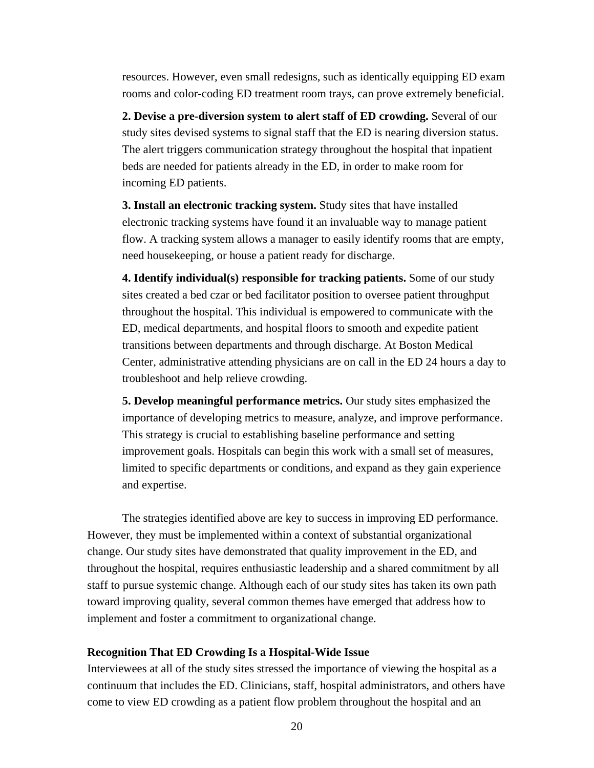resources. However, even small redesigns, such as identically equipping ED exam rooms and color-coding ED treatment room trays, can prove extremely beneficial.

**2. Devise a pre-diversion system to alert staff of ED crowding.** Several of our study sites devised systems to signal staff that the ED is nearing diversion status. The alert triggers communication strategy throughout the hospital that inpatient beds are needed for patients already in the ED, in order to make room for incoming ED patients.

**3. Install an electronic tracking system.** Study sites that have installed electronic tracking systems have found it an invaluable way to manage patient flow. A tracking system allows a manager to easily identify rooms that are empty, need housekeeping, or house a patient ready for discharge.

**4. Identify individual(s) responsible for tracking patients.** Some of our study sites created a bed czar or bed facilitator position to oversee patient throughput throughout the hospital. This individual is empowered to communicate with the ED, medical departments, and hospital floors to smooth and expedite patient transitions between departments and through discharge. At Boston Medical Center, administrative attending physicians are on call in the ED 24 hours a day to troubleshoot and help relieve crowding.

**5. Develop meaningful performance metrics.** Our study sites emphasized the importance of developing metrics to measure, analyze, and improve performance. This strategy is crucial to establishing baseline performance and setting improvement goals. Hospitals can begin this work with a small set of measures, limited to specific departments or conditions, and expand as they gain experience and expertise.

The strategies identified above are key to success in improving ED performance. However, they must be implemented within a context of substantial organizational change. Our study sites have demonstrated that quality improvement in the ED, and throughout the hospital, requires enthusiastic leadership and a shared commitment by all staff to pursue systemic change. Although each of our study sites has taken its own path toward improving quality, several common themes have emerged that address how to implement and foster a commitment to organizational change.

#### **Recognition That ED Crowding Is a Hospital-Wide Issue**

Interviewees at all of the study sites stressed the importance of viewing the hospital as a continuum that includes the ED. Clinicians, staff, hospital administrators, and others have come to view ED crowding as a patient flow problem throughout the hospital and an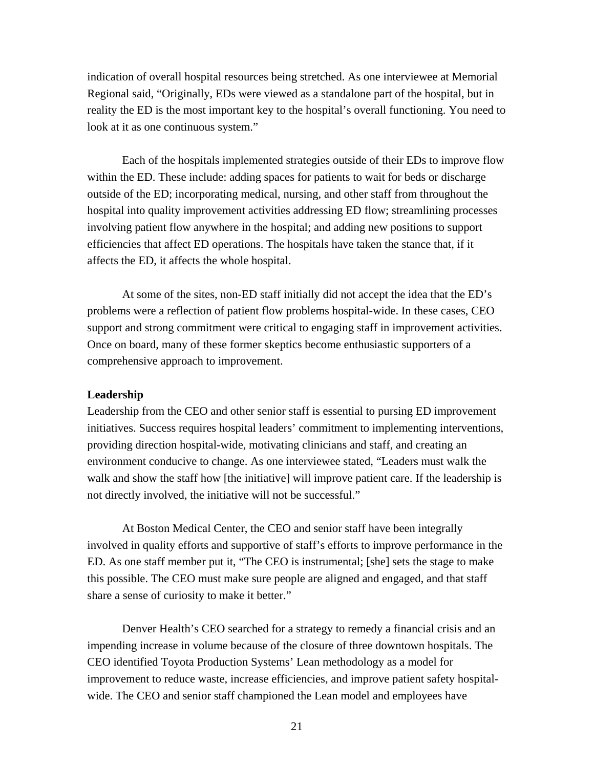indication of overall hospital resources being stretched. As one interviewee at Memorial Regional said, "Originally, EDs were viewed as a standalone part of the hospital, but in reality the ED is the most important key to the hospital's overall functioning. You need to look at it as one continuous system."

Each of the hospitals implemented strategies outside of their EDs to improve flow within the ED. These include: adding spaces for patients to wait for beds or discharge outside of the ED; incorporating medical, nursing, and other staff from throughout the hospital into quality improvement activities addressing ED flow; streamlining processes involving patient flow anywhere in the hospital; and adding new positions to support efficiencies that affect ED operations. The hospitals have taken the stance that, if it affects the ED, it affects the whole hospital.

At some of the sites, non-ED staff initially did not accept the idea that the ED's problems were a reflection of patient flow problems hospital-wide. In these cases, CEO support and strong commitment were critical to engaging staff in improvement activities. Once on board, many of these former skeptics become enthusiastic supporters of a comprehensive approach to improvement.

### **Leadership**

Leadership from the CEO and other senior staff is essential to pursing ED improvement initiatives. Success requires hospital leaders' commitment to implementing interventions, providing direction hospital-wide, motivating clinicians and staff, and creating an environment conducive to change. As one interviewee stated, "Leaders must walk the walk and show the staff how [the initiative] will improve patient care. If the leadership is not directly involved, the initiative will not be successful."

At Boston Medical Center, the CEO and senior staff have been integrally involved in quality efforts and supportive of staff's efforts to improve performance in the ED. As one staff member put it, "The CEO is instrumental; [she] sets the stage to make this possible. The CEO must make sure people are aligned and engaged, and that staff share a sense of curiosity to make it better."

Denver Health's CEO searched for a strategy to remedy a financial crisis and an impending increase in volume because of the closure of three downtown hospitals. The CEO identified Toyota Production Systems' Lean methodology as a model for improvement to reduce waste, increase efficiencies, and improve patient safety hospitalwide. The CEO and senior staff championed the Lean model and employees have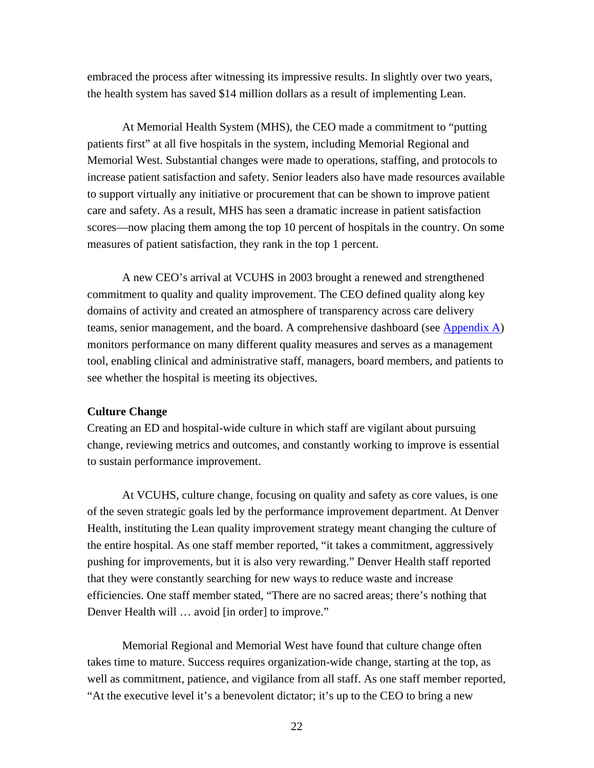embraced the process after witnessing its impressive results. In slightly over two years, the health system has saved \$14 million dollars as a result of implementing Lean.

At Memorial Health System (MHS), the CEO made a commitment to "putting patients first" at all five hospitals in the system, including Memorial Regional and Memorial West. Substantial changes were made to operations, staffing, and protocols to increase patient satisfaction and safety. Senior leaders also have made resources available to support virtually any initiative or procurement that can be shown to improve patient care and safety. As a result, MHS has seen a dramatic increase in patient satisfaction scores—now placing them among the top 10 percent of hospitals in the country. On some measures of patient satisfaction, they rank in the top 1 percent.

A new CEO's arrival at VCUHS in 2003 brought a renewed and strengthened commitment to quality and quality improvement. The CEO defined quality along key domains of activity and created an atmosphere of transparency across care delivery teams, senior management, and the board. A comprehensive dashboard (see [Appendix A\)](#page-40-0) monitors performance on many different quality measures and serves as a management tool, enabling clinical and administrative staff, managers, board members, and patients to see whether the hospital is meeting its objectives.

### **Culture Change**

Creating an ED and hospital-wide culture in which staff are vigilant about pursuing change, reviewing metrics and outcomes, and constantly working to improve is essential to sustain performance improvement.

At VCUHS, culture change, focusing on quality and safety as core values, is one of the seven strategic goals led by the performance improvement department. At Denver Health, instituting the Lean quality improvement strategy meant changing the culture of the entire hospital. As one staff member reported, "it takes a commitment, aggressively pushing for improvements, but it is also very rewarding." Denver Health staff reported that they were constantly searching for new ways to reduce waste and increase efficiencies. One staff member stated, "There are no sacred areas; there's nothing that Denver Health will … avoid [in order] to improve."

Memorial Regional and Memorial West have found that culture change often takes time to mature. Success requires organization-wide change, starting at the top, as well as commitment, patience, and vigilance from all staff. As one staff member reported, "At the executive level it's a benevolent dictator; it's up to the CEO to bring a new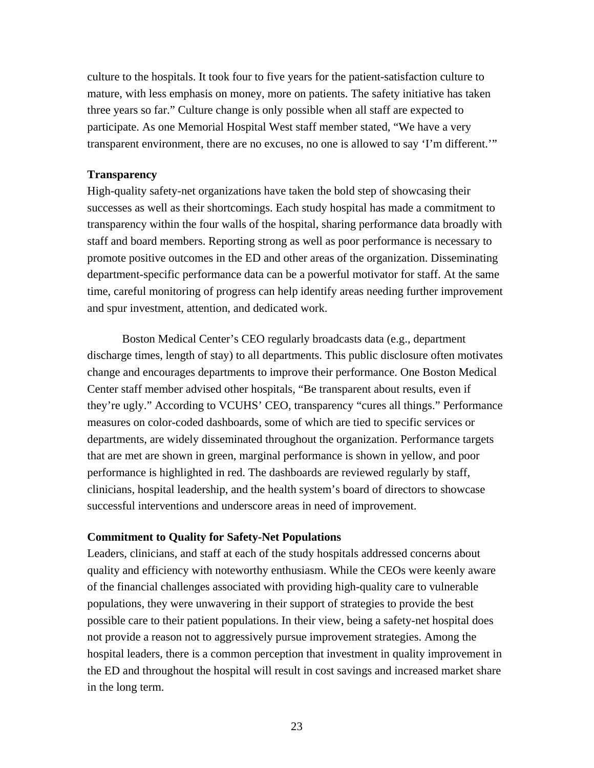culture to the hospitals. It took four to five years for the patient-satisfaction culture to mature, with less emphasis on money, more on patients. The safety initiative has taken three years so far." Culture change is only possible when all staff are expected to participate. As one Memorial Hospital West staff member stated, "We have a very transparent environment, there are no excuses, no one is allowed to say 'I'm different.'"

#### **Transparency**

High-quality safety-net organizations have taken the bold step of showcasing their successes as well as their shortcomings. Each study hospital has made a commitment to transparency within the four walls of the hospital, sharing performance data broadly with staff and board members. Reporting strong as well as poor performance is necessary to promote positive outcomes in the ED and other areas of the organization. Disseminating department-specific performance data can be a powerful motivator for staff. At the same time, careful monitoring of progress can help identify areas needing further improvement and spur investment, attention, and dedicated work.

Boston Medical Center's CEO regularly broadcasts data (e.g., department discharge times, length of stay) to all departments. This public disclosure often motivates change and encourages departments to improve their performance. One Boston Medical Center staff member advised other hospitals, "Be transparent about results, even if they're ugly." According to VCUHS' CEO, transparency "cures all things." Performance measures on color-coded dashboards, some of which are tied to specific services or departments, are widely disseminated throughout the organization. Performance targets that are met are shown in green, marginal performance is shown in yellow, and poor performance is highlighted in red. The dashboards are reviewed regularly by staff, clinicians, hospital leadership, and the health system's board of directors to showcase successful interventions and underscore areas in need of improvement.

#### **Commitment to Quality for Safety-Net Populations**

Leaders, clinicians, and staff at each of the study hospitals addressed concerns about quality and efficiency with noteworthy enthusiasm. While the CEOs were keenly aware of the financial challenges associated with providing high-quality care to vulnerable populations, they were unwavering in their support of strategies to provide the best possible care to their patient populations. In their view, being a safety-net hospital does not provide a reason not to aggressively pursue improvement strategies. Among the hospital leaders, there is a common perception that investment in quality improvement in the ED and throughout the hospital will result in cost savings and increased market share in the long term.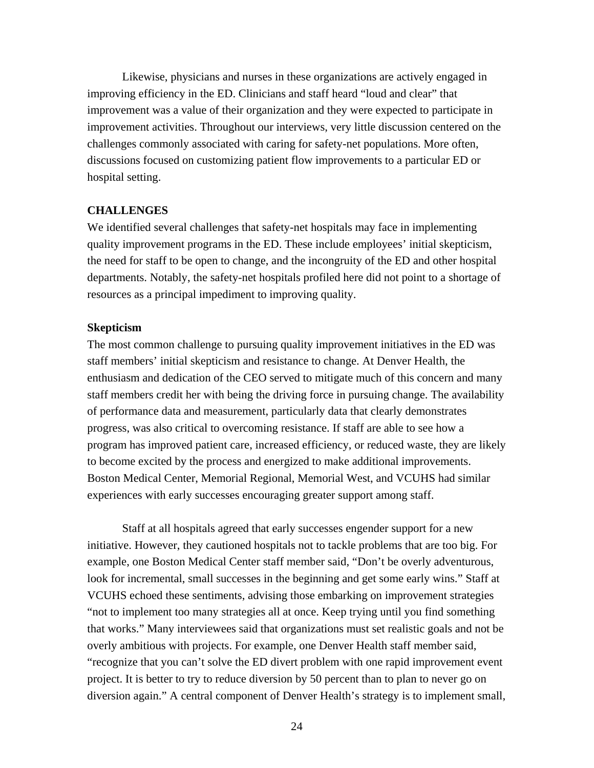Likewise, physicians and nurses in these organizations are actively engaged in improving efficiency in the ED. Clinicians and staff heard "loud and clear" that improvement was a value of their organization and they were expected to participate in improvement activities. Throughout our interviews, very little discussion centered on the challenges commonly associated with caring for safety-net populations. More often, discussions focused on customizing patient flow improvements to a particular ED or hospital setting.

### **CHALLENGES**

We identified several challenges that safety-net hospitals may face in implementing quality improvement programs in the ED. These include employees' initial skepticism, the need for staff to be open to change, and the incongruity of the ED and other hospital departments. Notably, the safety-net hospitals profiled here did not point to a shortage of resources as a principal impediment to improving quality.

#### **Skepticism**

The most common challenge to pursuing quality improvement initiatives in the ED was staff members' initial skepticism and resistance to change. At Denver Health, the enthusiasm and dedication of the CEO served to mitigate much of this concern and many staff members credit her with being the driving force in pursuing change. The availability of performance data and measurement, particularly data that clearly demonstrates progress, was also critical to overcoming resistance. If staff are able to see how a program has improved patient care, increased efficiency, or reduced waste, they are likely to become excited by the process and energized to make additional improvements. Boston Medical Center, Memorial Regional, Memorial West, and VCUHS had similar experiences with early successes encouraging greater support among staff.

Staff at all hospitals agreed that early successes engender support for a new initiative. However, they cautioned hospitals not to tackle problems that are too big. For example, one Boston Medical Center staff member said, "Don't be overly adventurous, look for incremental, small successes in the beginning and get some early wins." Staff at VCUHS echoed these sentiments, advising those embarking on improvement strategies "not to implement too many strategies all at once. Keep trying until you find something that works." Many interviewees said that organizations must set realistic goals and not be overly ambitious with projects. For example, one Denver Health staff member said, "recognize that you can't solve the ED divert problem with one rapid improvement event project. It is better to try to reduce diversion by 50 percent than to plan to never go on diversion again." A central component of Denver Health's strategy is to implement small,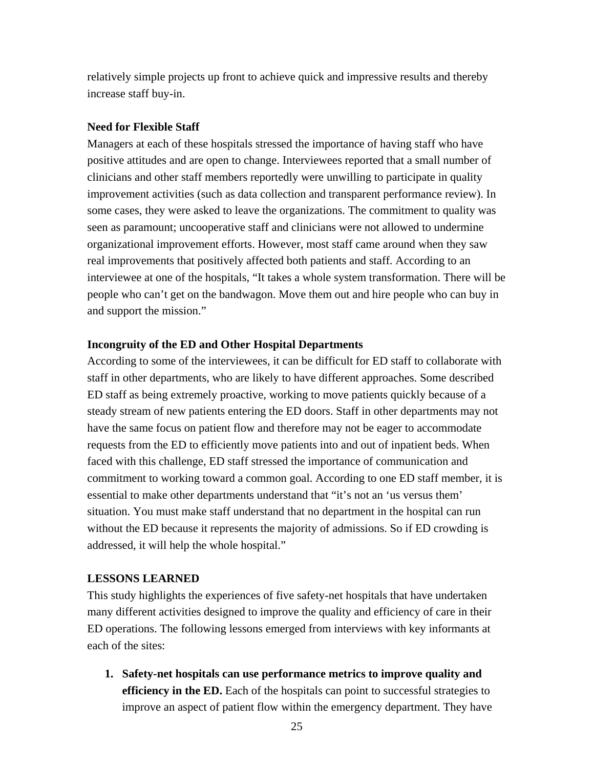relatively simple projects up front to achieve quick and impressive results and thereby increase staff buy-in.

## **Need for Flexible Staff**

Managers at each of these hospitals stressed the importance of having staff who have positive attitudes and are open to change. Interviewees reported that a small number of clinicians and other staff members reportedly were unwilling to participate in quality improvement activities (such as data collection and transparent performance review). In some cases, they were asked to leave the organizations. The commitment to quality was seen as paramount; uncooperative staff and clinicians were not allowed to undermine organizational improvement efforts. However, most staff came around when they saw real improvements that positively affected both patients and staff. According to an interviewee at one of the hospitals, "It takes a whole system transformation. There will be people who can't get on the bandwagon. Move them out and hire people who can buy in and support the mission."

# **Incongruity of the ED and Other Hospital Departments**

According to some of the interviewees, it can be difficult for ED staff to collaborate with staff in other departments, who are likely to have different approaches. Some described ED staff as being extremely proactive, working to move patients quickly because of a steady stream of new patients entering the ED doors. Staff in other departments may not have the same focus on patient flow and therefore may not be eager to accommodate requests from the ED to efficiently move patients into and out of inpatient beds. When faced with this challenge, ED staff stressed the importance of communication and commitment to working toward a common goal. According to one ED staff member, it is essential to make other departments understand that "it's not an 'us versus them' situation. You must make staff understand that no department in the hospital can run without the ED because it represents the majority of admissions. So if ED crowding is addressed, it will help the whole hospital."

# **LESSONS LEARNED**

This study highlights the experiences of five safety-net hospitals that have undertaken many different activities designed to improve the quality and efficiency of care in their ED operations. The following lessons emerged from interviews with key informants at each of the sites:

**1. Safety-net hospitals can use performance metrics to improve quality and efficiency in the ED.** Each of the hospitals can point to successful strategies to improve an aspect of patient flow within the emergency department. They have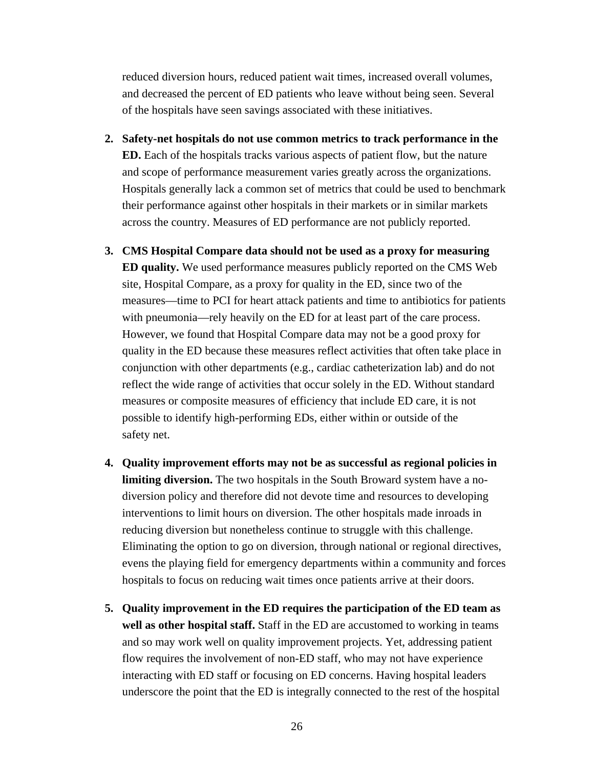reduced diversion hours, reduced patient wait times, increased overall volumes, and decreased the percent of ED patients who leave without being seen. Several of the hospitals have seen savings associated with these initiatives.

- **2. Safety-net hospitals do not use common metrics to track performance in the ED.** Each of the hospitals tracks various aspects of patient flow, but the nature and scope of performance measurement varies greatly across the organizations. Hospitals generally lack a common set of metrics that could be used to benchmark their performance against other hospitals in their markets or in similar markets across the country. Measures of ED performance are not publicly reported.
- **3. CMS Hospital Compare data should not be used as a proxy for measuring ED quality.** We used performance measures publicly reported on the CMS Web site, Hospital Compare, as a proxy for quality in the ED, since two of the measures—time to PCI for heart attack patients and time to antibiotics for patients with pneumonia—rely heavily on the ED for at least part of the care process. However, we found that Hospital Compare data may not be a good proxy for quality in the ED because these measures reflect activities that often take place in conjunction with other departments (e.g., cardiac catheterization lab) and do not reflect the wide range of activities that occur solely in the ED. Without standard measures or composite measures of efficiency that include ED care, it is not possible to identify high-performing EDs, either within or outside of the safety net.
- **4. Quality improvement efforts may not be as successful as regional policies in limiting diversion.** The two hospitals in the South Broward system have a nodiversion policy and therefore did not devote time and resources to developing interventions to limit hours on diversion. The other hospitals made inroads in reducing diversion but nonetheless continue to struggle with this challenge. Eliminating the option to go on diversion, through national or regional directives, evens the playing field for emergency departments within a community and forces hospitals to focus on reducing wait times once patients arrive at their doors.
- **5. Quality improvement in the ED requires the participation of the ED team as well as other hospital staff.** Staff in the ED are accustomed to working in teams and so may work well on quality improvement projects. Yet, addressing patient flow requires the involvement of non-ED staff, who may not have experience interacting with ED staff or focusing on ED concerns. Having hospital leaders underscore the point that the ED is integrally connected to the rest of the hospital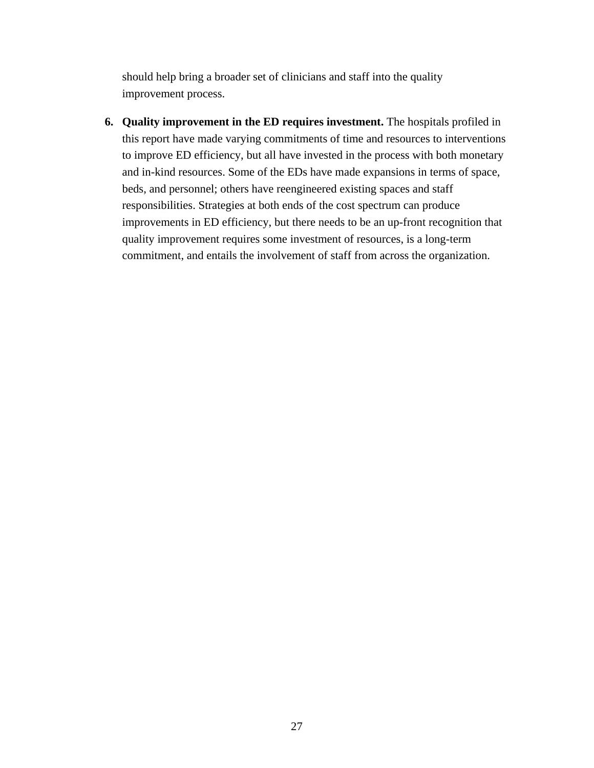should help bring a broader set of clinicians and staff into the quality improvement process.

**6. Quality improvement in the ED requires investment.** The hospitals profiled in this report have made varying commitments of time and resources to interventions to improve ED efficiency, but all have invested in the process with both monetary and in-kind resources. Some of the EDs have made expansions in terms of space, beds, and personnel; others have reengineered existing spaces and staff responsibilities. Strategies at both ends of the cost spectrum can produce improvements in ED efficiency, but there needs to be an up-front recognition that quality improvement requires some investment of resources, is a long-term commitment, and entails the involvement of staff from across the organization.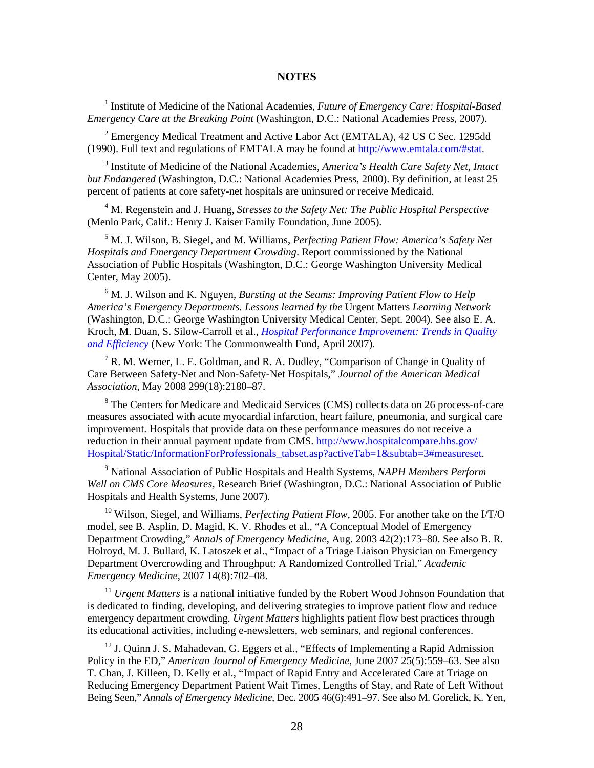#### **NOTES**

<sup>1</sup> Institute of Medicine of the National Academies, *Future of Emergency Care: Hospital-Based Emergency Care at the Breaking Point* (Washington, D.C.: National Academies Press, 2007).

 $2$  Emergency Medical Treatment and Active Labor Act (EMTALA), 42 US C Sec. 1295dd (1990). Full text and regulations of EMTALA may be found at [http://www.emtala.com/#stat.](http://www.emtala.com/#stat)

3 Institute of Medicine of the National Academies, *America's Health Care Safety Net, Intact but Endangered* (Washington, D.C.: National Academies Press, 2000). By definition, at least 25 percent of patients at core safety-net hospitals are uninsured or receive Medicaid.

<sup>4</sup> M. Regenstein and J. Huang, *Stresses to the Safety Net: The Public Hospital Perspective* (Menlo Park, Calif.: Henry J. Kaiser Family Foundation, June 2005).

5 M. J. Wilson, B. Siegel, and M. Williams, *Perfecting Patient Flow: America's Safety Net Hospitals and Emergency Department Crowding*. Report commissioned by the National Association of Public Hospitals (Washington, D.C.: George Washington University Medical Center, May 2005).

<sup>6</sup> M. J. Wilson and K. Nguyen, *Bursting at the Seams: Improving Patient Flow to Help America's Emergency Departments. Lessons learned by the* Urgent Matters *Learning Network* (Washington, D.C.: George Washington University Medical Center, Sept. 2004). See also E. A. Kroch, M. Duan, S. Silow-Carroll et al., *[Hospital Performance Improvement: Trends in Quality](http://www.commonwealthfund.org/Content/Publications/Fund-Reports/2007/Apr/Hospital-Performance-Improvement--Trends-in-Quality-and-Efficiency-A-Quantitative-Analysis-of-Perfor.aspx)  [and Efficiency](http://www.commonwealthfund.org/Content/Publications/Fund-Reports/2007/Apr/Hospital-Performance-Improvement--Trends-in-Quality-and-Efficiency-A-Quantitative-Analysis-of-Perfor.aspx)* (New York: The Commonwealth Fund, April 2007).

<sup>7</sup> R. M. Werner, L. E. Goldman, and R. A. Dudley, "Comparison of Change in Quality of Care Between Safety-Net and Non-Safety-Net Hospitals," *Journal of the American Medical Association*, May 2008 299(18):2180–87.

<sup>8</sup> The Centers for Medicare and Medicaid Services (CMS) collects data on 26 process-of-care measures associated with acute myocardial infarction, heart failure, pneumonia, and surgical care improvement. Hospitals that provide data on these performance measures do not receive a reduction in their annual payment update from CMS. [http://www.hospitalcompare.hhs.gov/](http://www.hospitalcompare.hhs.gov/Hospital/Static/InformationForProfessionals_tabset.asp?activeTab=1&subtab=3#measureset)  [Hospital/Static/InformationForProfessionals\\_tabset.asp?activeTab=1&subtab=3#measureset.](http://www.hospitalcompare.hhs.gov/Hospital/Static/InformationForProfessionals_tabset.asp?activeTab=1&subtab=3#measureset)

9 National Association of Public Hospitals and Health Systems, *NAPH Members Perform Well on CMS Core Measures,* Research Brief (Washington, D.C.: National Association of Public Hospitals and Health Systems, June 2007).

10 Wilson, Siegel, and Williams, *Perfecting Patient Flow,* 2005. For another take on the I/T/O model, see B. Asplin, D. Magid, K. V. Rhodes et al., "A Conceptual Model of Emergency Department Crowding," *Annals of Emergency Medicine*, Aug. 2003 42(2):173–80. See also B. R. Holroyd, M. J. Bullard, K. Latoszek et al., "Impact of a Triage Liaison Physician on Emergency Department Overcrowding and Throughput: A Randomized Controlled Trial," *Academic Emergency Medicine*, 2007 14(8):702–08.

<sup>11</sup> *Urgent Matters* is a national initiative funded by the Robert Wood Johnson Foundation that is dedicated to finding, developing, and delivering strategies to improve patient flow and reduce emergency department crowding. *Urgent Matters* highlights patient flow best practices through its educational activities, including e-newsletters, web seminars, and regional conferences.

 $12$  J. Quinn J. S. Mahadevan, G. Eggers et al., "Effects of Implementing a Rapid Admission Policy in the ED," *American Journal of Emergency Medicine*, June 2007 25(5):559–63. See also T. Chan, J. Killeen, D. Kelly et al., "Impact of Rapid Entry and Accelerated Care at Triage on Reducing Emergency Department Patient Wait Times, Lengths of Stay, and Rate of Left Without Being Seen," *Annals of Emergency Medicine,* Dec. 2005 46(6):491–97. See also M. Gorelick, K. Yen,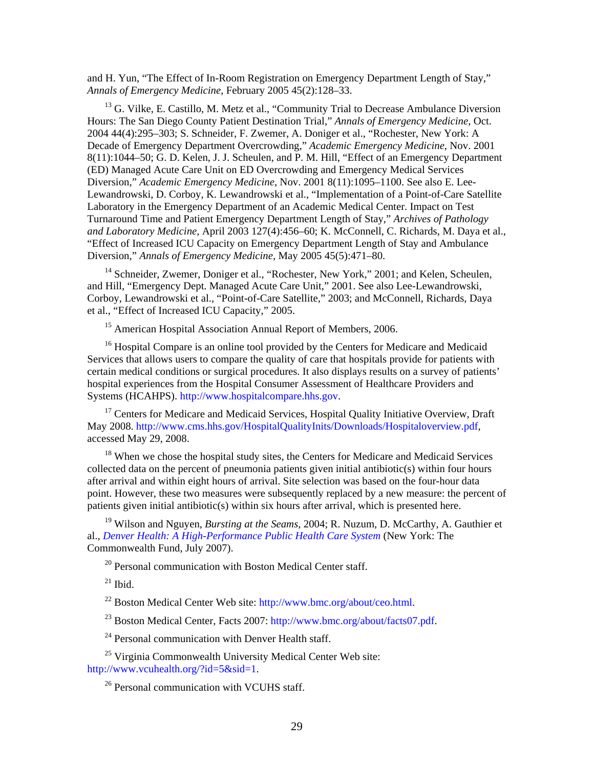and H. Yun, "The Effect of In-Room Registration on Emergency Department Length of Stay," *Annals of Emergency Medicine*, February 2005 45(2):128–33.

<sup>13</sup> G. Vilke, E. Castillo, M. Metz et al., "Community Trial to Decrease Ambulance Diversion Hours: The San Diego County Patient Destination Trial," *Annals of Emergency Medicine*, Oct. 2004 44(4):295–303; S. Schneider, F. Zwemer, A. Doniger et al., "Rochester, New York: A Decade of Emergency Department Overcrowding," *Academic Emergency Medicine*, Nov. 2001 8(11):1044–50; G. D. Kelen, J. J. Scheulen, and P. M. Hill, "Effect of an Emergency Department (ED) Managed Acute Care Unit on ED Overcrowding and Emergency Medical Services Diversion," *Academic Emergency Medicine*, Nov. 2001 8(11):1095–1100. See also E. [Lee-](http://www.ncbi.nlm.nih.gov/sites/entrez?Db=pubmed&Cmd=Search&Term=%22Lee-Lewandrowski%20E%22%5BAuthor%5D&itool=EntrezSystem2.PEntrez.Pubmed.Pubmed_ResultsPanel.Pubmed_DiscoveryPanel.Pubmed_RVAbstractPlus)[Lewandrowski](http://www.ncbi.nlm.nih.gov/sites/entrez?Db=pubmed&Cmd=Search&Term=%22Lee-Lewandrowski%20E%22%5BAuthor%5D&itool=EntrezSystem2.PEntrez.Pubmed.Pubmed_ResultsPanel.Pubmed_DiscoveryPanel.Pubmed_RVAbstractPlus), D. [Corboy](http://www.ncbi.nlm.nih.gov/sites/entrez?Db=pubmed&Cmd=Search&Term=%22Corboy%20D%22%5BAuthor%5D&itool=EntrezSystem2.PEntrez.Pubmed.Pubmed_ResultsPanel.Pubmed_DiscoveryPanel.Pubmed_RVAbstractPlus), K. [Lewandrowski](http://www.ncbi.nlm.nih.gov/sites/entrez?Db=pubmed&Cmd=Search&Term=%22Lee-Lewandrowski%20E%22%5BAuthor%5D&itool=EntrezSystem2.PEntrez.Pubmed.Pubmed_ResultsPanel.Pubmed_DiscoveryPanel.Pubmed_RVAbstractPlus) et al., "Implementation of a Point-of-Care Satellite Laboratory in the Emergency Department of an Academic Medical Center. Impact on Test Turnaround Time and Patient Emergency Department Length of Stay," *[Archives of Pathology](javascript:AL_get(this,%20)  [and Laboratory Medicine,](javascript:AL_get(this,%20)* April 2003 127(4):456–60; K. McConnell, C. Richards, M. Daya et al., "Effect of Increased ICU Capacity on Emergency Department Length of Stay and Ambulance Diversion," *Annals of Emergency Medicine,* May 2005 45(5):471–80.

<sup>14</sup> Schneider, Zwemer, Doniger et al., "Rochester, New York," 2001; and Kelen, Scheulen, and Hill, "Emergency Dept. Managed Acute Care Unit," 2001. See also [Lee-Lewandrowski](http://www.ncbi.nlm.nih.gov/sites/entrez?Db=pubmed&Cmd=Search&Term=%22Lee-Lewandrowski%20E%22%5BAuthor%5D&itool=EntrezSystem2.PEntrez.Pubmed.Pubmed_ResultsPanel.Pubmed_DiscoveryPanel.Pubmed_RVAbstractPlus), [Corboy](http://www.ncbi.nlm.nih.gov/sites/entrez?Db=pubmed&Cmd=Search&Term=%22Corboy%20D%22%5BAuthor%5D&itool=EntrezSystem2.PEntrez.Pubmed.Pubmed_ResultsPanel.Pubmed_DiscoveryPanel.Pubmed_RVAbstractPlus), Lewandrowski et al., "Point-of-Care Satellite," 2003; and McConnell, Richards, Daya et al., "Effect of Increased ICU Capacity," 2005.

<sup>15</sup> American Hospital Association Annual Report of Members, 2006.

<sup>16</sup> Hospital Compare is an online tool provided by the Centers for Medicare and Medicaid Services that allows users to compare the quality of care that hospitals provide for patients with certain [medical conditions or surgical procedures.](http://www.hospitalcompare.hhs.gov/Hospital/Search/Welcome.asp?version=default&browser=IE%7C7%7CWinXP&language=English&defaultstatus=0&pagelist=Home##) It also displays results on a survey of patients' hospital experiences from the Hospital Consumer Assessment of Healthcare Providers and Systems (HCAHPS). [http://www.hospitalcompare.hhs.gov.](http://www.hospitalcompare.hhs.gov/)

<sup>17</sup> Centers for Medicare and Medicaid Services, Hospital Quality Initiative Overview, Draft May 2008. [http://www.cms.hhs.gov/HospitalQualityInits/Downloads/Hospitaloverview.pdf,](http://www.cms.hhs.gov/HospitalQualityInits/Downloads/Hospitaloverview.pdf) accessed May 29, 2008.

<sup>18</sup> When we chose the hospital study sites, the Centers for Medicare and Medicaid Services collected data on the percent of pneumonia patients given initial antibiotic(s) within four hours after arrival and within eight hours of arrival. Site selection was based on the four-hour data point. However, these two measures were subsequently replaced by a new measure: the percent of patients given initial antibiotic(s) within six hours after arrival, which is presented here.

19 Wilson and Nguyen, *Bursting at the Seams,* 2004; R. Nuzum, D. McCarthy, A. Gauthier et al., *[Denver Health: A High-Performance Public Health Care System](http://www.commonwealthfund.org/Content/Publications/Fund-Reports/2007/Jul/Denver-Health--A-High-Performance-Public-Health-Care-System.aspx)* (New York: The Commonwealth Fund, July 2007).

 $20$  Personal communication with Boston Medical Center staff.

 $21$  Ibid.

22 Boston Medical Center Web site:<http://www.bmc.org/about/ceo.html>.

<sup>23</sup> Boston Medical Center, Facts 2007:<http://www.bmc.org/about/facts07.pdf>.

<sup>24</sup> Personal communication with Denver Health staff.

25 Virginia Commonwealth University Medical Center Web site: <http://www.vcuhealth.org/?id=5&sid=1>.

 $26$  Personal communication with VCUHS staff.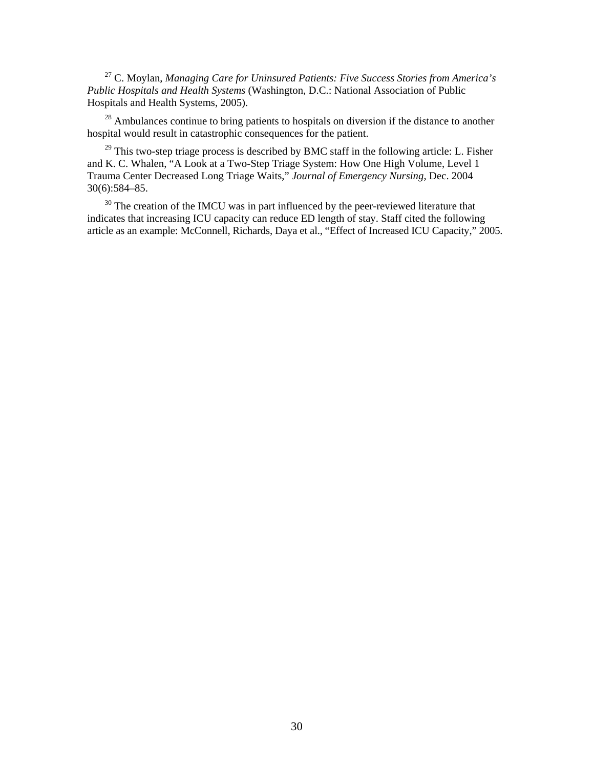27 C. Moylan, *Managing Care for Uninsured Patients: Five Success Stories from America's Public Hospitals and Health Systems* (Washington, D.C.: National Association of Public Hospitals and Health Systems, 2005).

<sup>28</sup> Ambulances continue to bring patients to hospitals on diversion if the distance to another hospital would result in catastrophic consequences for the patient.

 $29$  This two-step triage process is described by BMC staff in the following article: L. Fisher and K. C. Whalen, "A Look at a Two-Step Triage System: How One High Volume, Level 1 Trauma Center Decreased Long Triage Waits," *Journal of Emergency Nursing*, Dec. 2004 30(6):584–85.

<sup>30</sup> The creation of the IMCU was in part influenced by the peer-reviewed literature that indicates that increasing ICU capacity can reduce ED length of stay. Staff cited the following article as an example: McConnell, Richards, Daya et al., "Effect of Increased ICU Capacity," 2005.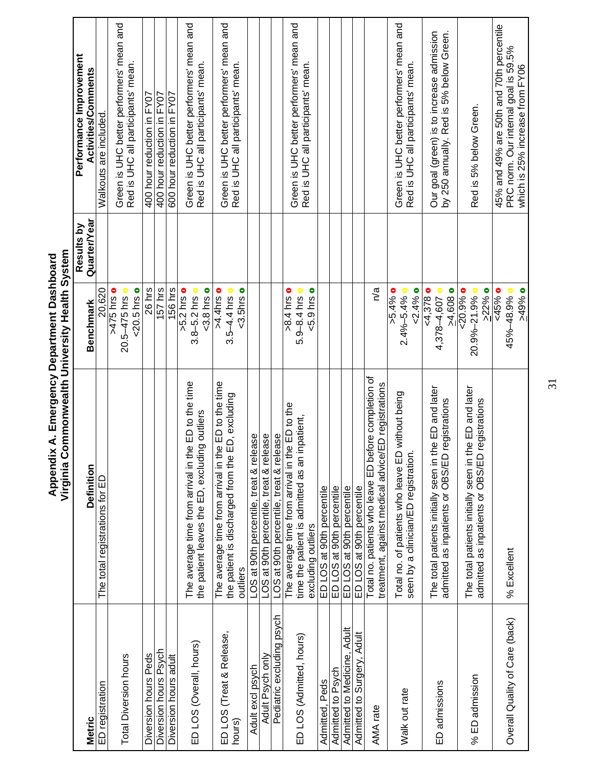<span id="page-40-0"></span>

| <b>Metric</b>                      | Definition                                                                                                          | <b>Benchmark</b>                                            | Quarter/Year<br>Results by | Performance Improvement<br>Activities/Comments                                                                      |
|------------------------------------|---------------------------------------------------------------------------------------------------------------------|-------------------------------------------------------------|----------------------------|---------------------------------------------------------------------------------------------------------------------|
| ED registration                    | The total registrations for ED                                                                                      | 20,620                                                      |                            | Walkouts are included.                                                                                              |
| <b>Total Diversion hours</b>       |                                                                                                                     | <20.5 hrs o<br>$-475$ hrs o<br>$20.5 - 475$ hrs o           |                            | Green is UHC better performers' mean and<br>Red is UHC all participants' mean.                                      |
| Diversion hours Peds               |                                                                                                                     | 26 hrs                                                      |                            | 400 hour reduction in FY07                                                                                          |
| Diversion hours Psych              |                                                                                                                     | 157 hrs                                                     |                            | 400 hour reduction in FY07                                                                                          |
| Diversion hours adult              |                                                                                                                     | 156 hrs                                                     |                            | 600 hour reduction in FY07                                                                                          |
| ED LOS (Overall, hours)            | The average time from arrival in the ED to the time<br>the patient leaves the ED, excluding outliers                | $5.2$ hrs $\circ$<br>$3.8 - 5.2$ hrs $\circ$<br>$3.8$ hrs o |                            | Green is UHC better performers' mean and<br>Red is UHC all participants' mean.                                      |
| ED LOS (Treat & Release,<br>hours) | The average time from arrival in the ED to the time<br>the patient is discharged from the ED, excluding<br>outliers | >4.4hrso<br>$3.5 - 4.4$ hrs o<br>$3.5hrs$                   |                            | Green is UHC better performers' mean and<br>Red is UHC all participants' mean.                                      |
| Adult excl psych                   | LOS at 90th percentile, treat & release                                                                             |                                                             |                            |                                                                                                                     |
| Adult Psych only                   | LOS at 90th percentile, treat & release                                                                             |                                                             |                            |                                                                                                                     |
| Pediatric excluding psych          | LOS at 90th percentile, treat & release                                                                             |                                                             |                            |                                                                                                                     |
|                                    | The average time from arrival in the ED to the                                                                      | $-8.4$ hrs o                                                |                            | Green is UHC better performers' mean and                                                                            |
| ED LOS (Admitted, hours)           | inpatient,<br>time the patient is admitted as an                                                                    | $< 5.9$ hrs $\bullet$<br>5.9-8.4 hrs o                      |                            | Red is UHC all participants' mean.                                                                                  |
|                                    | excluding outliers                                                                                                  |                                                             |                            |                                                                                                                     |
| Admitted, Peds                     | ED LOS at 90th percentile                                                                                           |                                                             |                            |                                                                                                                     |
| Admitted to Psych                  | ED LOS at 90th percentile                                                                                           |                                                             |                            |                                                                                                                     |
| Admitted to Medicine, Adult        | ED LOS at 90th percentile                                                                                           |                                                             |                            |                                                                                                                     |
| Admitted to Surgery, Adult         | ED LOS at 90th percentile                                                                                           |                                                             |                            |                                                                                                                     |
| AMA rate                           | Total no. patients who leave ED before completion of<br>treatment, against medical advice/ED registrations          | n/a                                                         |                            |                                                                                                                     |
| Walk out rate                      | Total no. of patients who leave ED without being<br>seen by a clinician/ED registration                             | < 2.4%<br>$>5.4\%$ 0<br>$2.4\% - 5.4\%$                     |                            | Green is UHC better performers' mean and<br>Red is UHC all participants' mean.                                      |
| ED admissions                      | the ED and later<br>admitted as inpatients or OBS/ED registrations<br>The total patients initially seen in          | $-4,378$<br>4,378-4,607 0<br>>4,608                         |                            | Our goal (green) is to increase admission<br>by 250 annually. Red is 5% below Green.                                |
| % ED admission                     | the ED and later<br>registrations<br>admitted as inpatients or OBS/ED<br>The total patients initially seen in t     | $-20.9%$<br>>22%<br>20.9%-21.9% o                           |                            | Red is 5% below Green.                                                                                              |
| Overall Quality of Care (back)     | % Excellent                                                                                                         | $6,45\%$<br>$-49%$<br>45%-48.9% o                           |                            | 45% and 49% are 50th and 70th percentile<br>PRC norm. Our internal goal is 59.5%<br>which is 25% increase from FY06 |

Appendix A. Emergency Department Dashboard<br>Virginia Commonwealth University Health System **Virginia Commonwealth University Health System Appendix A. Emergency Department Dashboard** 

31